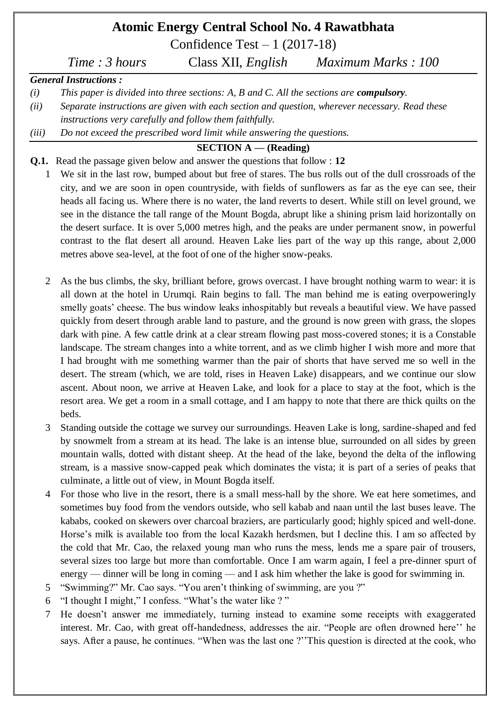# **Atomic Energy Central School No. 4 Rawatbhata**

Confidence Test – 1 (2017-18)

*Time : 3 hours* Class XII, *English Maximum Marks : 100*

*General Instructions :*

- *(i) This paper is divided into three sections: A, B and C. All the sections are compulsory.*
- *(ii) Separate instructions are given with each section and question, wherever necessary. Read these instructions very carefully and follow them faithfully.*
- *(iii) Do not exceed the prescribed word limit while answering the questions.*

# **SECTION A — (Reading)**

- **Q.1.** Read the passage given below and answer the questions that follow : **12**
	- 1 We sit in the last row, bumped about but free of stares. The bus rolls out of the dull crossroads of the city, and we are soon in open countryside, with fields of sunflowers as far as the eye can see, their heads all facing us. Where there is no water, the land reverts to desert. While still on level ground, we see in the distance the tall range of the Mount Bogda, abrupt like a shining prism laid horizontally on the desert surface. It is over 5,000 metres high, and the peaks are under permanent snow, in powerful contrast to the flat desert all around. Heaven Lake lies part of the way up this range, about 2,000 metres above sea-level, at the foot of one of the higher snow-peaks.
	- 2 As the bus climbs, the sky, brilliant before, grows overcast. I have brought nothing warm to wear: it is all down at the hotel in Urumqi. Rain begins to fall. The man behind me is eating overpoweringly smelly goats' cheese. The bus window leaks inhospitably but reveals a beautiful view. We have passed quickly from desert through arable land to pasture, and the ground is now green with grass, the slopes dark with pine. A few cattle drink at a clear stream flowing past moss-covered stones; it is a Constable landscape. The stream changes into a white torrent, and as we climb higher I wish more and more that I had brought with me something warmer than the pair of shorts that have served me so well in the desert. The stream (which, we are told, rises in Heaven Lake) disappears, and we continue our slow ascent. About noon, we arrive at Heaven Lake, and look for a place to stay at the foot, which is the resort area. We get a room in a small cottage, and I am happy to note that there are thick quilts on the beds.
	- 3 Standing outside the cottage we survey our surroundings. Heaven Lake is long, sardine-shaped and fed by snowmelt from a stream at its head. The lake is an intense blue, surrounded on all sides by green mountain walls, dotted with distant sheep. At the head of the lake, beyond the delta of the inflowing stream, is a massive snow-capped peak which dominates the vista; it is part of a series of peaks that culminate, a little out of view, in Mount Bogda itself.
	- 4 For those who live in the resort, there is a small mess-hall by the shore. We eat here sometimes, and sometimes buy food from the vendors outside, who sell kabab and naan until the last buses leave. The kababs, cooked on skewers over charcoal braziers, are particularly good; highly spiced and well-done. Horse's milk is available too from the local Kazakh herdsmen, but I decline this. I am so affected by the cold that Mr. Cao, the relaxed young man who runs the mess, lends me a spare pair of trousers, several sizes too large but more than comfortable. Once I am warm again, I feel a pre-dinner spurt of energy — dinner will be long in coming — and I ask him whether the lake is good for swimming in.
	- 5 "Swimming?" Mr. Cao says. "You aren't thinking of swimming, are you ?"
	- 6 "I thought I might," I confess. "What's the water like ?"
	- 7 He doesn't answer me immediately, turning instead to examine some receipts with exaggerated interest. Mr. Cao, with great off-handedness, addresses the air. "People are often drowned here" he says. After a pause, he continues. "When was the last one ?''This question is directed at the cook, who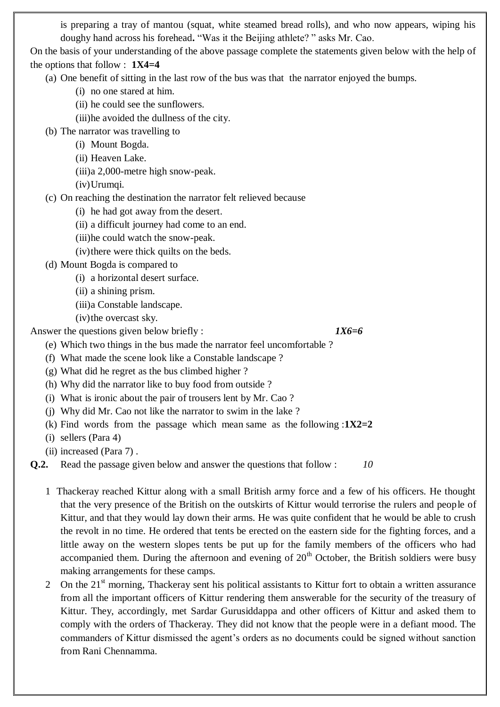is preparing a tray of mantou (squat, white steamed bread rolls), and who now appears, wiping his doughy hand across his forehead. "Was it the Beijing athlete? " asks Mr. Cao. On the basis of your understanding of the above passage complete the statements given below with the help of the options that follow : **1X4=4** (a) One benefit of sitting in the last row of the bus was that the narrator enjoyed the bumps. (i) no one stared at him. (ii) he could see the sunflowers. (iii)he avoided the dullness of the city. (b) The narrator was travelling to (i) Mount Bogda. (ii) Heaven Lake. (iii)a 2,000-metre high snow-peak. (iv)Urumqi. (c) On reaching the destination the narrator felt relieved because (i) he had got away from the desert. (ii) a difficult journey had come to an end. (iii)he could watch the snow-peak. (iv)there were thick quilts on the beds. (d) Mount Bogda is compared to (i) a horizontal desert surface. (ii) a shining prism. (iii)a Constable landscape. (iv)the overcast sky.

Answer the questions given below briefly : *1X6=6* 

- (e) Which two things in the bus made the narrator feel uncomfortable ?
- (f) What made the scene look like a Constable landscape ?
- (g) What did he regret as the bus climbed higher ?
- (h) Why did the narrator like to buy food from outside ?
- (i) What is ironic about the pair of trousers lent by Mr. Cao ?
- (j) Why did Mr. Cao not like the narrator to swim in the lake ?
- (k) Find words from the passage which mean same as the following :**1X2=2**
- (i) sellers (Para 4)
- (ii) increased (Para 7) .

**Q.2.** Read the passage given below and answer the questions that follow : *10* 

- 1 Thackeray reached Kittur along with a small British army force and a few of his officers. He thought that the very presence of the British on the outskirts of Kittur would terrorise the rulers and people of Kittur, and that they would lay down their arms. He was quite confident that he would be able to crush the revolt in no time. He ordered that tents be erected on the eastern side for the fighting forces, and a little away on the western slopes tents be put up for the family members of the officers who had accompanied them. During the afternoon and evening of  $20<sup>th</sup>$  October, the British soldiers were busy making arrangements for these camps.
- 2 On the 21<sup>st</sup> morning, Thackeray sent his political assistants to Kittur fort to obtain a written assurance from all the important officers of Kittur rendering them answerable for the security of the treasury of Kittur. They, accordingly, met Sardar Gurusiddappa and other officers of Kittur and asked them to comply with the orders of Thackeray. They did not know that the people were in a defiant mood. The commanders of Kittur dismissed the agent's orders as no documents could be signed without sanction from Rani Chennamma.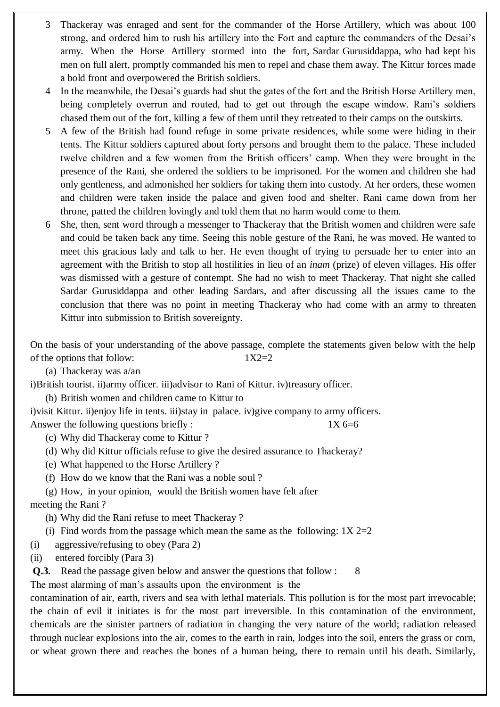- 3 Thackeray was enraged and sent for the commander of the Horse Artillery, which was about 100 strong, and ordered him to rush his artillery into the Fort and capture the commanders of the Desai's army. When the Horse Artillery stormed into the fort, Sardar Gurusiddappa, who had kept his men on full alert, promptly commanded his men to repel and chase them away. The Kittur forces made a bold front and overpowered the British soldiers.
- 4 In the meanwhile, the Desai's guards had shut the gates of the fort and the British Horse Artillery men, being completely overrun and routed, had to get out through the escape window. Rani's soldiers chased them out of the fort, killing a few of them until they retreated to their camps on the outskirts.
- 5 A few of the British had found refuge in some private residences, while some were hiding in their tents. The Kittur soldiers captured about forty persons and brought them to the palace. These included twelve children and a few women from the British officers' camp. When they were brought in the presence of the Rani, she ordered the soldiers to be imprisoned. For the women and children she had only gentleness, and admonished her soldiers for taking them into custody. At her orders, these women and children were taken inside the palace and given food and shelter. Rani came down from her throne, patted the children lovingly and told them that no harm would come to them.
- 6 She, then, sent word through a messenger to Thackeray that the British women and children were safe and could be taken back any time. Seeing this noble gesture of the Rani, he was moved. He wanted to meet this gracious lady and talk to her. He even thought of trying to persuade her to enter into an agreement with the British to stop all hostilities in lieu of an *inam* (prize) of eleven villages. His offer was dismissed with a gesture of contempt. She had no wish to meet Thackeray. That night she called Sardar Gurusiddappa and other leading Sardars, and after discussing all the issues came to the conclusion that there was no point in meeting Thackeray who had come with an army to threaten Kittur into submission to British sovereignty.

On the basis of your understanding of the above passage, complete the statements given below with the help of the options that follow:  $1X2=2$ 

(a) Thackeray was a/an

i)British tourist. ii)army officer. iii)advisor to Rani of Kittur. iv)treasury officer.

(b) British women and children came to Kittur to

i)visit Kittur. ii)enjoy life in tents. iii)stay in palace. iv)give company to army officers. Answer the following questions briefly :  $1X 6=6$ 

(c) Why did Thackeray come to Kittur ?

- (d) Why did Kittur officials refuse to give the desired assurance to Thackeray?
- (e) What happened to the Horse Artillery ?
- (f) How do we know that the Rani was a noble soul ?
- (g) How, in your opinion, would the British women have felt after

meeting the Rani ?

(h) Why did the Rani refuse to meet Thackeray ?

- (i) Find words from the passage which mean the same as the following:  $1X 2=2$
- (i) aggressive/refusing to obey (Para 2)

(ii) entered forcibly (Para 3)

**Q.3.** Read the passage given below and answer the questions that follow : 8

The most alarming of man's assaults upon the environment is the

contamination of air, earth, rivers and sea with lethal materials. This pollution is for the most part irrevocable; the chain of evil it initiates is for the most part irreversible. In this contamination of the environment, chemicals are the sinister partners of radiation in changing the very nature of the world; radiation released through nuclear explosions into the air, comes to the earth in rain, lodges into the soil, enters the grass or corn, or wheat grown there and reaches the bones of a human being, there to remain until his death. Similarly,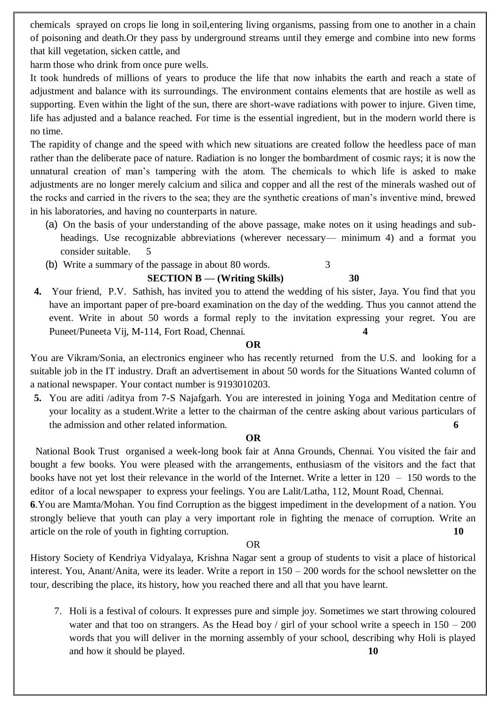chemicals sprayed on crops lie long in soil,entering living organisms, passing from one to another in a chain of poisoning and death.Or they pass by underground streams until they emerge and combine into new forms that kill vegetation, sicken cattle, and

harm those who drink from once pure wells.

It took hundreds of millions of years to produce the life that now inhabits the earth and reach a state of adjustment and balance with its surroundings. The environment contains elements that are hostile as well as supporting. Even within the light of the sun, there are short-wave radiations with power to injure. Given time, life has adjusted and a balance reached. For time is the essential ingredient, but in the modern world there is no time.

The rapidity of change and the speed with which new situations are created follow the heedless pace of man rather than the deliberate pace of nature. Radiation is no longer the bombardment of cosmic rays; it is now the unnatural creation of man's tampering with the atom. The chemicals to which life is asked to make adjustments are no longer merely calcium and silica and copper and all the rest of the minerals washed out of the rocks and carried in the rivers to the sea; they are the synthetic creations of man's inventive mind, brewed in his laboratories, and having no counterparts in nature.

- (a) On the basis of your understanding of the above passage, make notes on it using headings and subheadings. Use recognizable abbreviations (wherever necessary— minimum 4) and a format you consider suitable. 5
- (b) Write a summary of the passage in about 80 words.  $\frac{3}{2}$

## **SECTION B — (Writing Skills) 30**

**4.** Your friend, P.V. Sathish, has invited you to attend the wedding of his sister, Jaya. You find that you have an important paper of pre-board examination on the day of the wedding. Thus you cannot attend the event. Write in about 50 words a formal reply to the invitation expressing your regret. You are Puneet/Puneeta Vij, M-114, Fort Road, Chennai. **4**

### **OR**

You are Vikram/Sonia, an electronics engineer who has recently returned from the U.S. and looking for a suitable job in the IT industry. Draft an advertisement in about 50 words for the Situations Wanted column of a national newspaper. Your contact number is 9193010203.

**5.** You are aditi /aditya from 7-S Najafgarh. You are interested in joining Yoga and Meditation centre of your locality as a student.Write a letter to the chairman of the centre asking about various particulars of the admission and other related information. **6** 

#### **OR**

 National Book Trust organised a week-long book fair at Anna Grounds, Chennai. You visited the fair and bought a few books. You were pleased with the arrangements, enthusiasm of the visitors and the fact that books have not yet lost their relevance in the world of the Internet. Write a letter in 120 – 150 words to the editor of a local newspaper to express your feelings. You are Lalit/Latha, 112, Mount Road, Chennai.

**6**.You are Mamta/Mohan. You find Corruption as the biggest impediment in the development of a nation. You strongly believe that youth can play a very important role in fighting the menace of corruption. Write an article on the role of youth in fighting corruption. **10** 

### OR

History Society of Kendriya Vidyalaya, Krishna Nagar sent a group of students to visit a place of historical interest. You, Anant/Anita, were its leader. Write a report in 150 – 200 words for the school newsletter on the tour, describing the place, its history, how you reached there and all that you have learnt.

7. Holi is a festival of colours. It expresses pure and simple joy. Sometimes we start throwing coloured water and that too on strangers. As the Head boy  $/$  girl of your school write a speech in  $150 - 200$ words that you will deliver in the morning assembly of your school, describing why Holi is played and how it should be played. **10**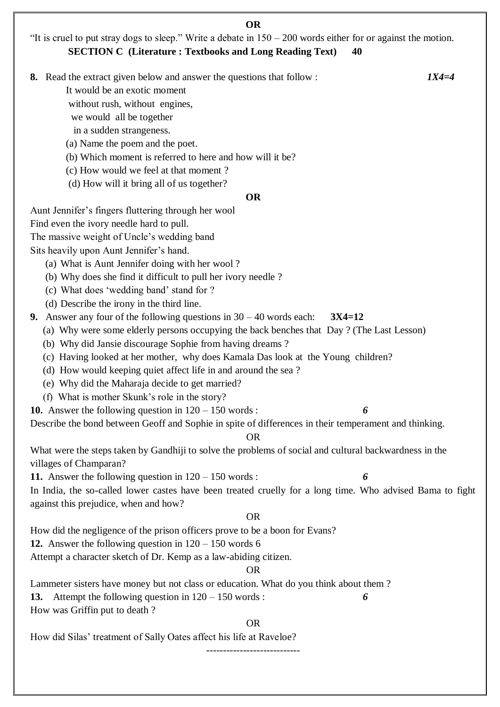**OR** "It is cruel to put stray dogs to sleep." Write a debate in  $150 - 200$  words either for or against the motion.  **SECTION C (Literature : Textbooks and Long Reading Text) 40 8.** Read the extract given below and answer the questions that follow : *1X4=4* It would be an exotic moment without rush, without engines, we would all be together in a sudden strangeness. (a) Name the poem and the poet. (b) Which moment is referred to here and how will it be? (c) How would we feel at that moment ? (d) How will it bring all of us together? **OR** Aunt Jennifer's fingers fluttering through her wool Find even the ivory needle hard to pull. The massive weight of Uncle's wedding band Sits heavily upon Aunt Jennifer's hand. (a) What is Aunt Jennifer doing with her wool ? (b) Why does she find it difficult to pull her ivory needle ? (c) What does 'wedding band' stand for ? (d) Describe the irony in the third line. **9.** Answer any four of the following questions in  $30 - 40$  words each:  $3X4=12$  (a) Why were some elderly persons occupying the back benches that Day ? (The Last Lesson) (b) Why did Jansie discourage Sophie from having dreams ? (c) Having looked at her mother, why does Kamala Das look at the Young children? (d) How would keeping quiet affect life in and around the sea ? (e) Why did the Maharaja decide to get married? (f) What is mother Skunk's role in the story? **10.** Answer the following question in 120 – 150 words : *6* Describe the bond between Geoff and Sophie in spite of differences in their temperament and thinking. OR What were the steps taken by Gandhiji to solve the problems of social and cultural backwardness in the villages of Champaran? **11.** Answer the following question in 120 – 150 words : *6* In India, the so-called lower castes have been treated cruelly for a long time. Who advised Bama to fight against this prejudice, when and how? OR

How did the negligence of the prison officers prove to be a boon for Evans?

**12.** Answer the following question in 120 – 150 words 6

Attempt a character sketch of Dr. Kemp as a law-abiding citizen.

OR

Lammeter sisters have money but not class or education. What do you think about them ? **13.** Attempt the following question in 120 – 150 words : *6* How was Griffin put to death ?

OR

----------------------------

How did Silas' treatment of Sally Oates affect his life at Raveloe?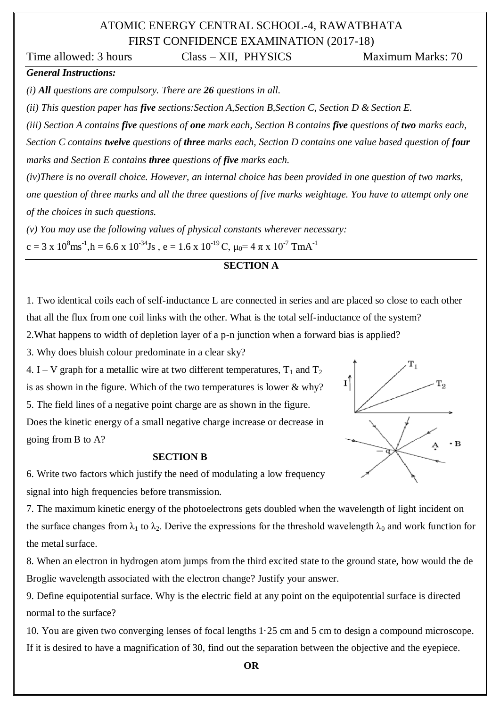# ATOMIC ENERGY CENTRAL SCHOOL-4, RAWATBHATA FIRST CONFIDENCE EXAMINATION (2017-18)

Time allowed: 3 hours Class – XII, PHYSICS Maximum Marks: 70

## *General Instructions:*

*(i) All questions are compulsory. There are 26 questions in all.* 

*(ii) This question paper has five sections:Section A,Section B,Section C, Section D & Section E.* 

*(iii) Section A contains five questions of one mark each, Section B contains five questions of two marks each, Section C contains twelve questions of three marks each, Section D contains one value based question of four marks and Section E contains three questions of five marks each.* 

*(iv)There is no overall choice. However, an internal choice has been provided in one question of two marks, one question of three marks and all the three questions of five marks weightage. You have to attempt only one of the choices in such questions.* 

*(v) You may use the following values of physical constants wherever necessary:* 

 $c = 3 \times 10^8 \text{ms}^{-1}$ , h = 6.6 x  $10^{-34}$ Js, e = 1.6 x  $10^{-19}$ C,  $\mu_0 = 4 \pi \times 10^{-7}$  TmA<sup>-1</sup>

# **SECTION A**

1. Two identical coils each of self-inductance L are connected in series and are placed so close to each other that all the flux from one coil links with the other. What is the total self-inductance of the system?

2.What happens to width of depletion layer of a p-n junction when a forward bias is applied?

3. Why does bluish colour predominate in a clear sky?

4. I – V graph for a metallic wire at two different temperatures,  $T_1$  and  $T_2$ is as shown in the figure. Which of the two temperatures is lower & why? 5. The field lines of a negative point charge are as shown in the figure.

Does the kinetic energy of a small negative charge increase or decrease in going from B to A?

## **SECTION B**



6. Write two factors which justify the need of modulating a low frequency signal into high frequencies before transmission.

7. The maximum kinetic energy of the photoelectrons gets doubled when the wavelength of light incident on the surface changes from  $\lambda_1$  to  $\lambda_2$ . Derive the expressions for the threshold wavelength  $\lambda_0$  and work function for the metal surface.

8. When an electron in hydrogen atom jumps from the third excited state to the ground state, how would the de Broglie wavelength associated with the electron change? Justify your answer.

9. Define equipotential surface. Why is the electric field at any point on the equipotential surface is directed normal to the surface?

10. You are given two converging lenses of focal lengths 1·25 cm and 5 cm to design a compound microscope. If it is desired to have a magnification of 30, find out the separation between the objective and the eyepiece.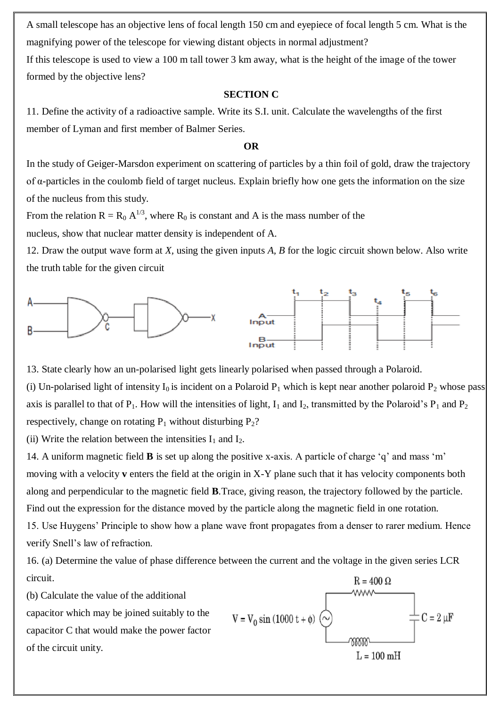A small telescope has an objective lens of focal length 150 cm and eyepiece of focal length 5 cm. What is the magnifying power of the telescope for viewing distant objects in normal adjustment?

If this telescope is used to view a 100 m tall tower 3 km away, what is the height of the image of the tower formed by the objective lens?

#### **SECTION C**

11. Define the activity of a radioactive sample. Write its S.I. unit. Calculate the wavelengths of the first member of Lyman and first member of Balmer Series.

#### **OR**

In the study of Geiger-Marsdon experiment on scattering of particles by a thin foil of gold, draw the trajectory of α-particles in the coulomb field of target nucleus. Explain briefly how one gets the information on the size of the nucleus from this study.

From the relation  $R = R_0 A^{1/3}$ , where  $R_0$  is constant and A is the mass number of the

nucleus, show that nuclear matter density is independent of A.

12. Draw the output wave form at *X,* using the given inputs *A, B* for the logic circuit shown below. Also write the truth table for the given circuit



13. State clearly how an un-polarised light gets linearly polarised when passed through a Polaroid.

(i) Un-polarised light of intensity  $I_0$  is incident on a Polaroid  $P_1$  which is kept near another polaroid  $P_2$  whose pass axis is parallel to that of  $P_1$ . How will the intensities of light,  $I_1$  and  $I_2$ , transmitted by the Polaroid's  $P_1$  and  $P_2$ respectively, change on rotating  $P_1$  without disturbing  $P_2$ ?

(ii) Write the relation between the intensities  $I_1$  and  $I_2$ .

14. A uniform magnetic field **B** is set up along the positive x-axis. A particle of charge 'q' and mass 'm' moving with a velocity **v** enters the field at the origin in X-Y plane such that it has velocity components both along and perpendicular to the magnetic field **B***.*Trace, giving reason, the trajectory followed by the particle. Find out the expression for the distance moved by the particle along the magnetic field in one rotation.

15. Use Huygens' Principle to show how a plane wave front propagates from a denser to rarer medium. Hence verify Snell's law of refraction.

16. (a) Determine the value of phase difference between the current and the voltage in the given series LCR circuit.

(b) Calculate the value of the additional capacitor which may be joined suitably to the capacitor C that would make the power factor of the circuit unity.

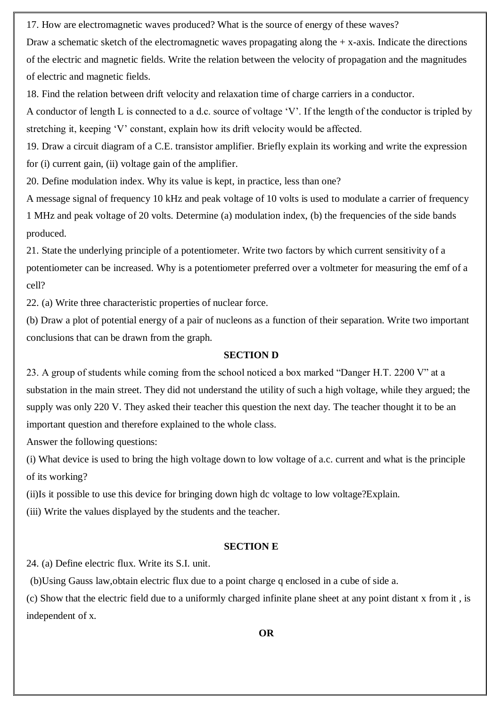17. How are electromagnetic waves produced? What is the source of energy of these waves?

Draw a schematic sketch of the electromagnetic waves propagating along the  $+ x$ -axis. Indicate the directions of the electric and magnetic fields. Write the relation between the velocity of propagation and the magnitudes of electric and magnetic fields.

18. Find the relation between drift velocity and relaxation time of charge carriers in a conductor.

A conductor of length L is connected to a d.c. source of voltage 'V'. If the length of the conductor is tripled by stretching it, keeping 'V' constant, explain how its drift velocity would be affected.

19. Draw a circuit diagram of a C.E. transistor amplifier. Briefly explain its working and write the expression for (i) current gain, (ii) voltage gain of the amplifier.

20. Define modulation index. Why its value is kept, in practice, less than one?

A message signal of frequency 10 kHz and peak voltage of 10 volts is used to modulate a carrier of frequency 1 MHz and peak voltage of 20 volts. Determine (a) modulation index, (b) the frequencies of the side bands produced.

21. State the underlying principle of a potentiometer. Write two factors by which current sensitivity of a potentiometer can be increased. Why is a potentiometer preferred over a voltmeter for measuring the emf of a cell?

22. (a) Write three characteristic properties of nuclear force.

(b) Draw a plot of potential energy of a pair of nucleons as a function of their separation. Write two important conclusions that can be drawn from the graph.

### **SECTION D**

23. A group of students while coming from the school noticed a box marked "Danger H.T. 2200 V" at a substation in the main street. They did not understand the utility of such a high voltage, while they argued; the supply was only 220 V. They asked their teacher this question the next day. The teacher thought it to be an important question and therefore explained to the whole class.

Answer the following questions:

(i) What device is used to bring the high voltage down to low voltage of a.c. current and what is the principle of its working?

(ii)Is it possible to use this device for bringing down high dc voltage to low voltage?Explain.

(iii) Write the values displayed by the students and the teacher.

## **SECTION E**

24. (a) Define electric flux. Write its S.I. unit.

(b)Using Gauss law,obtain electric flux due to a point charge q enclosed in a cube of side a.

(c) Show that the electric field due to a uniformly charged infinite plane sheet at any point distant x from it , is independent of x.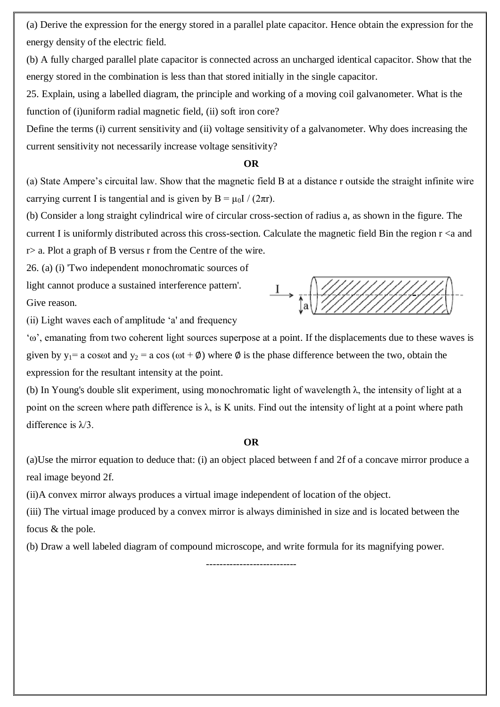(a) Derive the expression for the energy stored in a parallel plate capacitor. Hence obtain the expression for the energy density of the electric field.

(b) A fully charged parallel plate capacitor is connected across an uncharged identical capacitor. Show that the energy stored in the combination is less than that stored initially in the single capacitor.

25. Explain, using a labelled diagram, the principle and working of a moving coil galvanometer. What is the function of (i)uniform radial magnetic field, (ii) soft iron core?

Define the terms (i) current sensitivity and (ii) voltage sensitivity of a galvanometer. Why does increasing the current sensitivity not necessarily increase voltage sensitivity?

#### **OR**

(a) State Ampere's circuital law. Show that the magnetic field B at a distance r outside the straight infinite wire carrying current I is tangential and is given by  $B = \mu_0 I / (2\pi r)$ .

(b) Consider a long straight cylindrical wire of circular cross-section of radius a, as shown in the figure. The current I is uniformly distributed across this cross-section. Calculate the magnetic field Bin the region  $r < a$  and  $r > a$ . Plot a graph of B versus r from the Centre of the wire.

26. (a) (i) 'Two independent monochromatic sources of

light cannot produce a sustained interference pattern'. Give reason.



‗ω', emanating from two coherent light sources superpose at a point. If the displacements due to these waves is given by  $y_1$ = a cos $\omega$ t and  $y_2$  = a cos ( $\omega$ t +  $\emptyset$ ) where  $\emptyset$  is the phase difference between the two, obtain the expression for the resultant intensity at the point.

(b) In Young's double slit experiment, using monochromatic light of wavelength λ, the intensity of light at a point on the screen where path difference is  $\lambda$ , is K units. Find out the intensity of light at a point where path difference is  $\lambda/3$ .

#### **OR**

(a)Use the mirror equation to deduce that: (i) an object placed between f and 2f of a concave mirror produce a real image beyond 2f.

(ii)A convex mirror always produces a virtual image independent of location of the object.

(iii) The virtual image produced by a convex mirror is always diminished in size and is located between the focus & the pole.

(b) Draw a well labeled diagram of compound microscope, and write formula for its magnifying power.

---------------------------

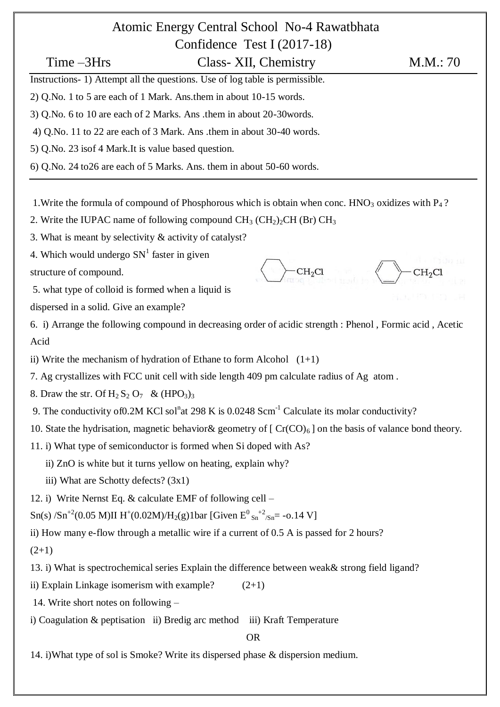# Atomic Energy Central School No-4 Rawatbhata Confidence Test I (2017-18)

Time –3Hrs Class- XII, Chemistry M.M.: 70

 $CH<sub>2</sub>Cl$ 

Instructions- 1) Attempt all the questions. Use of log table is permissible.

2) Q.No. 1 to 5 are each of 1 Mark. Ans.them in about 10-15 words.

3) Q.No. 6 to 10 are each of 2 Marks. Ans .them in about 20-30words.

4) Q.No. 11 to 22 are each of 3 Mark. Ans .them in about 30-40 words.

5) Q.No. 23 isof 4 Mark.It is value based question.

6) Q.No. 24 to26 are each of 5 Marks. Ans. them in about 50-60 words.

1. Write the formula of compound of Phosphorous which is obtain when conc.  $HNO<sub>3</sub>$  oxidizes with  $P<sub>4</sub>$ ?

2. Write the IUPAC name of following compound  $CH_3$  (CH<sub>2</sub>)<sub>2</sub>CH (Br) CH<sub>3</sub>

3. What is meant by selectivity & activity of catalyst?

4. Which would undergo  $SN<sup>1</sup>$  faster in given

structure of compound.

5. what type of colloid is formed when a liquid is

dispersed in a solid. Give an example?

6. i) Arrange the following compound in decreasing order of acidic strength : Phenol , Formic acid , Acetic Acid

CH<sub>2</sub>Cl

ii) Write the mechanism of hydration of Ethane to form Alcohol  $(1+1)$ 

7. Ag crystallizes with FCC unit cell with side length 409 pm calculate radius of Ag atom .

8. Draw the str. Of  $H_2 S_2 O_7 \& (HPO_3)_3$ 

9. The conductivity of 0.2M KCl sol<sup>n</sup>at 298 K is 0.0248 Scm<sup>-1</sup> Calculate its molar conductivity?

10. State the hydrisation, magnetic behavior & geometry of  $[\operatorname{Cr(CO)_6}]$  on the basis of valance bond theory.

11. i) What type of semiconductor is formed when Si doped with As?

ii) ZnO is white but it turns yellow on heating, explain why?

iii) What are Schotty defects? (3x1)

12. i) Write Nernst Eq. & calculate EMF of following cell –

Sn(s) /Sn<sup>+2</sup>(0.05 M)II H<sup>+</sup>(0.02M)/H<sub>2</sub>(g)1bar [Given E<sup>0</sup> s<sub>n</sub><sup>+2</sup>/s<sub>n</sub>= -0.14 V]

ii) How many e-flow through a metallic wire if a current of 0.5 A is passed for 2 hours?

 $(2+1)$ 

13. i) What is spectrochemical series Explain the difference between weak& strong field ligand?

ii) Explain Linkage isomerism with example?  $(2+1)$ 

14. Write short notes on following –

i) Coagulation & peptisation ii) Bredig arc method iii) Kraft Temperature

OR

14. i)What type of sol is Smoke? Write its dispersed phase & dispersion medium.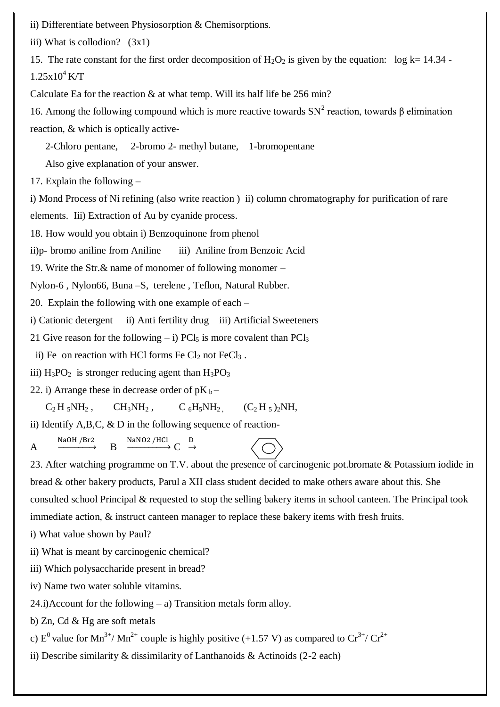ii) Differentiate between Physiosorption & Chemisorptions.

iii) What is collodion?  $(3x1)$ 

15. The rate constant for the first order decomposition of  $H_2O_2$  is given by the equation: log k= 14.34 - $1.25x10^4$  K/T

Calculate Ea for the reaction & at what temp. Will its half life be 256 min?

16. Among the following compound which is more reactive towards  $SN^2$  reaction, towards β elimination reaction, & which is optically active-

2-Chloro pentane, 2-bromo 2- methyl butane, 1-bromopentane

Also give explanation of your answer.

17. Explain the following –

i) Mond Process of Ni refining (also write reaction ) ii) column chromatography for purification of rare elements. Iii) Extraction of Au by cyanide process.

18. How would you obtain i) Benzoquinone from phenol

ii)p- bromo aniline from Aniline iii) Aniline from Benzoic Acid

19. Write the Str.& name of monomer of following monomer –

Nylon-6 , Nylon66, Buna –S, terelene , Teflon, Natural Rubber.

20. Explain the following with one example of each –

i) Cationic detergent ii) Anti fertility drug iii) Artificial Sweeteners

21 Give reason for the following – i)  $\text{PCl}_5$  is more covalent than  $\text{PCl}_3$ 

ii) Fe on reaction with HCl forms Fe  $Cl_2$  not FeCl<sub>3</sub>.

iii)  $H_3PO_2$  is stronger reducing agent than  $H_3PO_3$ 

22. i) Arrange these in decrease order of  $pK_b$ –

 $C_2 H_5NH_2$ ,  $CH_3NH_2$ ,  $C_6H_5NH_2$  ,  $(C_2 H_5)_2NH$ ,

ii) Identify A,B,C, & D in the following sequence of reaction-

A  $\frac{Na}{4}$ B  $\xrightarrow{\text{NANO2}/\text{HCl}} C \xrightarrow{D}$ 

23. After watching programme on T.V. about the presence of carcinogenic pot.bromate & Potassium iodide in bread & other bakery products, Parul a XII class student decided to make others aware about this. She consulted school Principal & requested to stop the selling bakery items in school canteen. The Principal took immediate action, & instruct canteen manager to replace these bakery items with fresh fruits.

i) What value shown by Paul?

ii) What is meant by carcinogenic chemical?

iii) Which polysaccharide present in bread?

iv) Name two water soluble vitamins.

24.i)Account for the following – a) Transition metals form alloy.

b) Zn, Cd & Hg are soft metals

c)  $E^0$  value for Mn<sup>3+</sup>/Mn<sup>2+</sup> couple is highly positive (+1.57 V) as compared to  $Cr^{3+}/Cr^{2+}$ 

ii) Describe similarity & dissimilarity of Lanthanoids & Actinoids (2-2 each)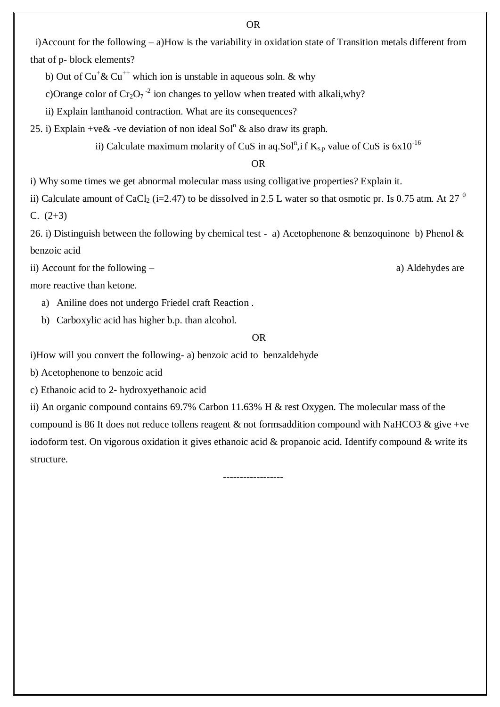i)Account for the following – a)How is the variability in oxidation state of Transition metals different from that of p- block elements?

b) Out of  $Cu^+ \& Cu^{++}$  which ion is unstable in aqueous soln.  $\&$  why

c)Orange color of  $Cr_2O_7^{-2}$  ion changes to yellow when treated with alkali,why?

ii) Explain lanthanoid contraction. What are its consequences?

25. i) Explain +ve& -ve deviation of non ideal Sol<sup>n</sup> & also draw its graph.

ii) Calculate maximum molarity of CuS in aq.Sol<sup>n</sup>, if  $K_{s,p}$  value of CuS is  $6x10^{-16}$ 

OR

i) Why some times we get abnormal molecular mass using colligative properties? Explain it.

ii) Calculate amount of CaCl<sub>2</sub> (i=2.47) to be dissolved in 2.5 L water so that osmotic pr. Is 0.75 atm. At 27<sup>0</sup> C.  $(2+3)$ 

26. i) Distinguish between the following by chemical test - a) Acetophenone & benzoquinone b) Phenol & benzoic acid

ii) Account for the following – a) Aldehydes are

more reactive than ketone.

a) Aniline does not undergo Friedel craft Reaction .

b) Carboxylic acid has higher b.p. than alcohol.

OR

i)How will you convert the following- a) benzoic acid to benzaldehyde

b) Acetophenone to benzoic acid

c) Ethanoic acid to 2- hydroxyethanoic acid

ii) An organic compound contains 69.7% Carbon 11.63% H & rest Oxygen. The molecular mass of the compound is 86 It does not reduce tollens reagent  $\&$  not formsaddition compound with NaHCO3  $\&$  give +ve iodoform test. On vigorous oxidation it gives ethanoic acid & propanoic acid. Identify compound & write its structure.

------------------

OR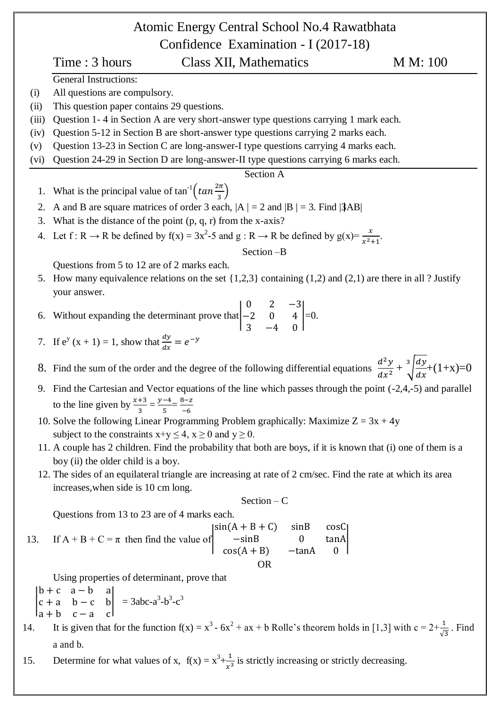# Atomic Energy Central School No.4 Rawatbhata Confidence Examination - I (2017-18)

Time : 3 hours Class XII, Mathematics M M: 100 General Instructions: (i) All questions are compulsory. (ii) This question paper contains 29 questions. (iii) Question 1- 4 in Section A are very short-answer type questions carrying 1 mark each. (iv) Question 5-12 in Section B are short-answer type questions carrying 2 marks each. (v) Question 13-23 in Section C are long-answer-I type questions carrying 4 marks each. (vi) Question 24-29 in Section D are long-answer-II type questions carrying 6 marks each. Section A 1. What is the principal value of  $\tan^{-1}(\tan \frac{2\pi}{3})$ 2. A and B are square matrices of order 3 each,  $|A| = 2$  and  $|B| = 3$ . Find  $|3AB|$ 3. What is the distance of the point  $(p, q, r)$  from the x-axis? 4. Let  $f: R \to R$  be defined by  $f(x) = 3x^2-5$  and  $g: R \to R$  be defined by  $g(x) = \frac{x}{x^2+1}$ . Section –B Questions from 5 to 12 are of 2 marks each. 5. How many equivalence relations on the set {1,2,3} containing (1,2) and (2,1) are there in all ? Justify your answer.  $\boldsymbol{0}$ 6. Without expanding the determinant prove that|  $=0.$  $\overline{\phantom{0}}$ 3 7. If  $e^{y} (x + 1) = 1$ , show that  $\frac{dy}{dx} = e^{-x}$ 8. Find the sum of the order and the degree of the following differential equations  $\frac{d^2}{dt^2}$  $\frac{d^2y}{dx^2} + \sqrt[3]{\frac{d}{d}}$  $\frac{dy}{dx}$ +(1+x)=0  $\boldsymbol{d}$ 9. Find the Cartesian and Vector equations of the line which passes through the point (-2,4,-5) and parallel to the line given by  $\frac{x+3}{3} = \frac{y}{x}$  $\frac{-4}{5} = \frac{8}{4}$ <sup>-</sup> 10. Solve the following Linear Programming Problem graphically: Maximize  $Z = 3x + 4y$ subject to the constraints  $x+y \le 4$ ,  $x \ge 0$  and  $y \ge 0$ . 11. A couple has 2 children. Find the probability that both are boys, if it is known that (i) one of them is a boy (ii) the older child is a boy. 12. The sides of an equilateral triangle are increasing at rate of 2 cm/sec. Find the rate at which its area increases,when side is 10 cm long. Section – C Questions from 13 to 23 are of 4 marks each.  $\sin(A + B + C)$  $sinB$  $cosC$ 13. If  $A + B + C = \pi$  then find the value of  $\begin{bmatrix} -\sin B \\ -\sin B \end{bmatrix}$  $\overline{\phantom{0}}$  $\mathbf{0}$ tanA  $-tanA$  $\mathcal{C}$  $\Omega$ OR Using properties of determinant, prove that

 $|c + a b - c b| = 3abc - a^3 - b^3 - c^3$  $|b+c a-b|$  $|a + b \ c - a|$ 

# 14. It is given that for the function  $f(x) = x^3 - 6x^2 + ax + b$  Rolle's theorem holds in [1,3] with  $c = 2 + \frac{1}{\sqrt{3}}$ . Find a and b.

15. Determine for what values of x,  $f(x) = x^3 + \frac{1}{x}$  $\frac{1}{x^3}$  is strictly increasing or strictly decreasing.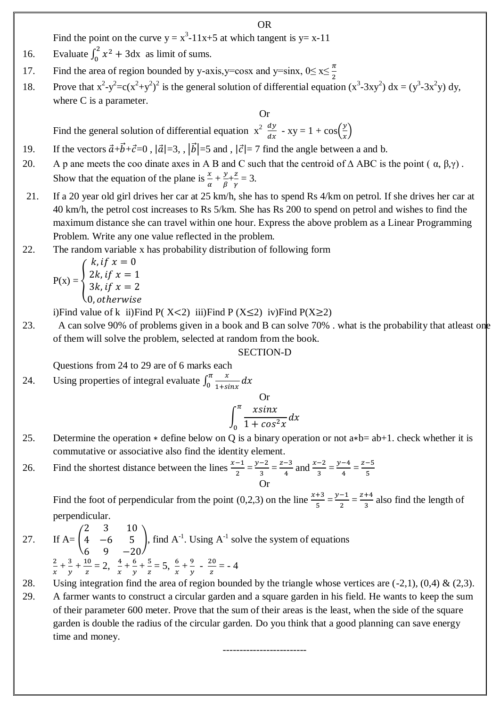#### OR

Or

Find the point on the curve  $y = x^3 - 11x + 5$  at which tangent is  $y = x - 11$ 

- 16. Evaluate  $\int_0^2 x^2$  $\int_{0}^{2} x^2 + 3dx$  as limit of sums.
- 17. Find the area of region bounded by y-axis,y=cosx and y=sinx,  $0 \le x \le \frac{\pi}{2}$
- 18. Prove that  $x^2-y^2=c(x^2+y^2)^2$  is the general solution of differential equation  $(x^3-3xy^2) dx = (y^3-3x^2y) dy$ , where C is a parameter.

Find the general solution of differential equation  $x^2 \frac{d}{dx}$  $\boldsymbol{d}$  $- xy = 1 + cos(\frac{y}{x})$  $\frac{y}{x}$ 

- 19. If the vectors  $\vec{a}+\vec{b}+\vec{c}=0$ ,  $|\vec{a}|=3$ ,  $|\vec{b}|=5$  and,  $|\vec{c}|=7$  find the angle between a and b.
- 20. A p ane meets the coo dinate axes in A B and C such that the centroid of  $\triangle$  ABC is the point ( $\alpha$ ,  $\beta$ , $\gamma$ ). Show that the equation of the plane is  $\frac{x}{\alpha} + \frac{y}{\beta}$  $\frac{y}{\beta} + \frac{z}{\gamma}$  $\frac{2}{\gamma} = 3.$
- 21. If a 20 year old girl drives her car at 25 km/h, she has to spend Rs 4/km on petrol. If she drives her car at 40 km/h, the petrol cost increases to Rs 5/km. She has Rs 200 to spend on petrol and wishes to find the maximum distance she can travel within one hour. Express the above problem as a Linear Programming Problem. Write any one value reflected in the problem.
- 22. The random variable x has probability distribution of following form

$$
P(x) = \begin{cases} k, if x = 0\\ 2k, if x = 1\\ 3k, if x = 2\\ 0, otherwise \end{cases}
$$

i)Find value of k ii)Find P( $X \le 2$ ) iii)Find P( $X \le 2$ ) iv)Find P( $X \ge 2$ )

23. A can solve 90% of problems given in a book and B can solve 70% . what is the probability that atleast one of them will solve the problem, selected at random from the book.

SECTION-D

Questions from 24 to 29 are of 6 marks each

24. Using properties of integral evaluate 
$$
\int_0^{\pi} \frac{x}{1 + \sin x} dx
$$

Or  

$$
\int_0^{\pi} \frac{x \sin x}{1 + \cos^2 x} dx
$$

- 25. Determine the operation  $*$  define below on Q is a binary operation or not a $*b= ab+1$ . check whether it is commutative or associative also find the identity element.
- 26. Find the shortest distance between the lines  $\frac{x-1}{2} = \frac{y}{x-1}$  $\frac{-2}{3} = \frac{z}{2}$  $\frac{x-3}{4}$  and  $\frac{x-2}{3} = \frac{y}{x}$  $\frac{-4}{4} = \frac{z}{4}$ 5 Or

Find the foot of perpendicular from the point (0,2,3) on the line  $\frac{x+3}{5} = \frac{y}{x}$  $\frac{-1}{2} = \frac{z}{z}$  $\frac{44}{3}$  also find the length of perpendicular.

- 27. If  $A=$  $\overline{c}$  $\overline{4}$ 6 ), find  $A^{-1}$ . Using  $A^{-1}$  solve the system of equations  $2 \t3 \t10 \t2 \t4 \t6 \t5 \t6 \t9 \t2$  $\frac{2}{x} + \frac{3}{y} + \frac{10}{z} = 2$ ,  $\frac{4}{x} + \frac{6}{y} + \frac{5}{z} = 5$ ,  $\frac{6}{x} + \frac{9}{y} - \frac{20}{z} = -4$
- 28. Using integration find the area of region bounded by the triangle whose vertices are (-2,1), (0,4) & (2,3).
- 29. A farmer wants to construct a circular garden and a square garden in his field. He wants to keep the sum of their parameter 600 meter. Prove that the sum of their areas is the least, when the side of the square garden is double the radius of the circular garden. Do you think that a good planning can save energy time and money.

-------------------------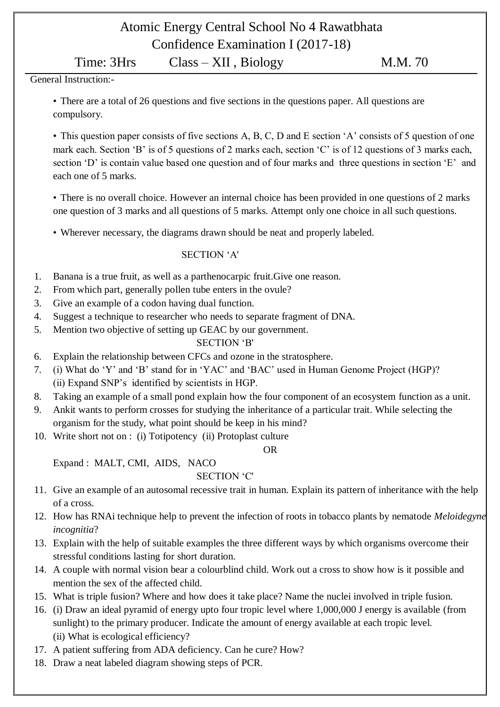# Atomic Energy Central School No 4 Rawatbhata Confidence Examination I (2017-18)

Time: 3Hrs Class – XII, Biology M.M. 70

General Instruction:-

• There are a total of 26 questions and five sections in the questions paper. All questions are compulsory.

• This question paper consists of five sections A, B, C, D and E section  $A'$  consists of 5 question of one mark each. Section 'B' is of 5 questions of 2 marks each, section 'C' is of 12 questions of 3 marks each, section 'D' is contain value based one question and of four marks and three questions in section 'E' and each one of 5 marks.

• There is no overall choice. However an internal choice has been provided in one questions of 2 marks one question of 3 marks and all questions of 5 marks. Attempt only one choice in all such questions.

• Wherever necessary, the diagrams drawn should be neat and properly labeled.

## SECTION 'A'

- 1. Banana is a true fruit, as well as a parthenocarpic fruit.Give one reason.
- 2. From which part, generally pollen tube enters in the ovule?
- 3. Give an example of a codon having dual function.
- 4. Suggest a technique to researcher who needs to separate fragment of DNA.
- 5. Mention two objective of setting up GEAC by our government.

## SECTION 'B'

- 6. Explain the relationship between CFCs and ozone in the stratosphere.
- 7. (i) What do 'Y' and 'B' stand for in 'YAC' and 'BAC' used in Human Genome Project (HGP)? (ii) Expand SNP's identified by scientists in HGP.
- 8. Taking an example of a small pond explain how the four component of an ecosystem function as a unit.
- 9. Ankit wants to perform crosses for studying the inheritance of a particular trait. While selecting the organism for the study, what point should be keep in his mind?
- 10. Write short not on : (i) Totipotency (ii) Protoplast culture

OR

Expand : MALT, CMI, AIDS, NACO

## SECTION 'C'

- 11. Give an example of an autosomal recessive trait in human. Explain its pattern of inheritance with the help of a cross.
- 12. How has RNAi technique help to prevent the infection of roots in tobacco plants by nematode *Meloidegyne incognitia*?
- 13. Explain with the help of suitable examples the three different ways by which organisms overcome their stressful conditions lasting for short duration.
- 14. A couple with normal vision bear a colourblind child. Work out a cross to show how is it possible and mention the sex of the affected child.
- 15. What is triple fusion? Where and how does it take place? Name the nuclei involved in triple fusion.
- 16. (i) Draw an ideal pyramid of energy upto four tropic level where 1,000,000 J energy is available (from sunlight) to the primary producer. Indicate the amount of energy available at each tropic level. (ii) What is ecological efficiency?
- 17. A patient suffering from ADA deficiency. Can he cure? How?
- 18. Draw a neat labeled diagram showing steps of PCR.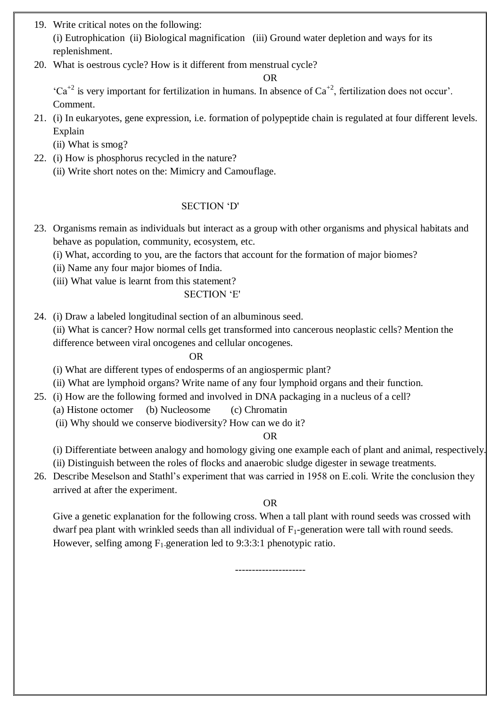19. Write critical notes on the following:

(i) Eutrophication (ii) Biological magnification (iii) Ground water depletion and ways for its replenishment.

20. What is oestrous cycle? How is it different from menstrual cycle?

OR

 $°Ca^{+2}$  is very important for fertilization in humans. In absence of  $Ca^{+2}$ , fertilization does not occur'. Comment.

21. (i) In eukaryotes, gene expression, i.e. formation of polypeptide chain is regulated at four different levels. Explain

(ii) What is smog?

- 22. (i) How is phosphorus recycled in the nature?
	- (ii) Write short notes on the: Mimicry and Camouflage.

## SECTION 'D'

- 23. Organisms remain as individuals but interact as a group with other organisms and physical habitats and behave as population, community, ecosystem, etc.
	- (i) What, according to you, are the factors that account for the formation of major biomes?
	- (ii) Name any four major biomes of India.
	- (iii) What value is learnt from this statement?

# SECTION 'E'

24. (i) Draw a labeled longitudinal section of an albuminous seed.

(ii) What is cancer? How normal cells get transformed into cancerous neoplastic cells? Mention the difference between viral oncogenes and cellular oncogenes.

**OR** OF THE STATE OF THE STATE OF THE STATE OF THE STATE OF THE STATE OF THE STATE OF THE STATE OF THE STATE OF THE STATE OF THE STATE OF THE STATE OF THE STATE OF THE STATE OF THE STATE OF THE STATE OF THE STATE OF THE ST

(i) What are different types of endosperms of an angiospermic plant?

(ii) What are lymphoid organs? Write name of any four lymphoid organs and their function.

25. (i) How are the following formed and involved in DNA packaging in a nucleus of a cell?

(a) Histone octomer (b) Nucleosome (c) Chromatin

(ii) Why should we conserve biodiversity? How can we do it?

## OR

(i) Differentiate between analogy and homology giving one example each of plant and animal, respectively. (ii) Distinguish between the roles of flocks and anaerobic sludge digester in sewage treatments.

26. Describe Meselson and Stathl's experiment that was carried in 1958 on E.coli. Write the conclusion they arrived at after the experiment.

OR

Give a genetic explanation for the following cross. When a tall plant with round seeds was crossed with dwarf pea plant with wrinkled seeds than all individual of  $F_1$ -generation were tall with round seeds. However, selfing among  $F_1$ -generation led to 9:3:3:1 phenotypic ratio.

---------------------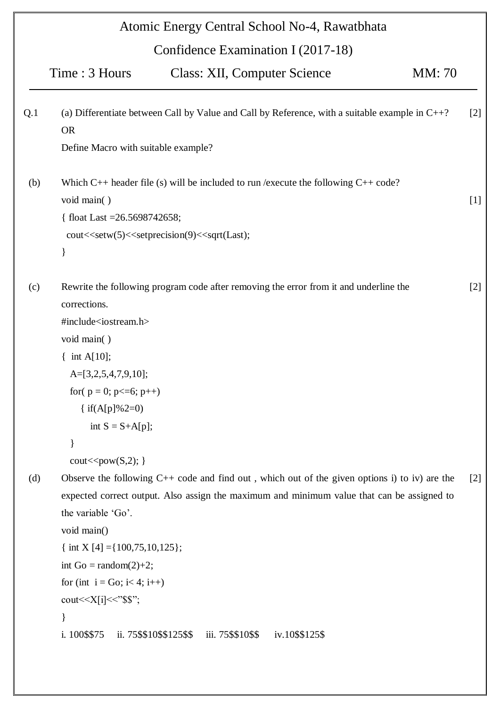|     |                                                                                                                                                                                                                                                                                                    |                                                                                                                                                                                                      | Atomic Energy Central School No-4, Rawatbhata                                                                                                                                                                      |                   |  |
|-----|----------------------------------------------------------------------------------------------------------------------------------------------------------------------------------------------------------------------------------------------------------------------------------------------------|------------------------------------------------------------------------------------------------------------------------------------------------------------------------------------------------------|--------------------------------------------------------------------------------------------------------------------------------------------------------------------------------------------------------------------|-------------------|--|
|     | Confidence Examination I (2017-18)                                                                                                                                                                                                                                                                 |                                                                                                                                                                                                      |                                                                                                                                                                                                                    |                   |  |
|     | Time: 3 Hours                                                                                                                                                                                                                                                                                      | <b>Class: XII, Computer Science</b>                                                                                                                                                                  | <b>MM</b> : 70                                                                                                                                                                                                     |                   |  |
| Q.1 | <b>OR</b><br>Define Macro with suitable example?                                                                                                                                                                                                                                                   |                                                                                                                                                                                                      | (a) Differentiate between Call by Value and Call by Reference, with a suitable example in $C++$ ?                                                                                                                  | [2]               |  |
| (b) | void main()<br>{ float Last = $26.5698742658$ ;<br>}                                                                                                                                                                                                                                               | cout< <setw(5)<<setprecision(9)<<sqrt(last);< td=""><td>Which C++ header file (s) will be included to run /execute the following C++ code?</td><td>[1]</td></setw(5)<<setprecision(9)<<sqrt(last);<> | Which C++ header file (s) will be included to run /execute the following C++ code?                                                                                                                                 | [1]               |  |
| (c) | corrections.<br>#include <iostream.h><br/>void main()<br/><math>\{</math> int A[10];<br/><math>A=[3,2,5,4,7,9,10];</math><br/>for(<math>p = 0</math>; <math>p \le 6</math>; <math>p++</math>)<br/>{ <math>if(A[p]\%2=0)</math><br/>int <math>S = S + A[p]</math>;<br/><math>\}</math></iostream.h> |                                                                                                                                                                                                      | Rewrite the following program code after removing the error from it and underline the                                                                                                                              | $[2]$             |  |
| (d) | $\text{cout} \ll \text{pow}(S,2);$<br>the variable 'Go'.<br>void main()<br>{ int X [4] = {100,75,10,125};<br>int Go = random(2)+2;<br>for (int $i = Go$ ; $i < 4$ ; $i++)$<br>$\}$<br>i. 100\$\$75                                                                                                 | ii. 75\$\$10\$\$125\$\$<br>iii. 75\$\$10\$\$                                                                                                                                                         | Observe the following $C_{++}$ code and find out, which out of the given options i) to iv) are the<br>expected correct output. Also assign the maximum and minimum value that can be assigned to<br>iv.10\$\$125\$ | $\lceil 2 \rceil$ |  |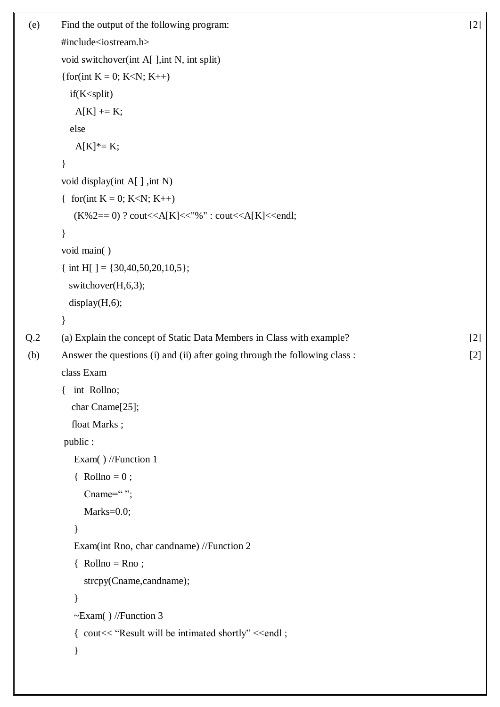```
 (e) Find the output of the following program:
        #include<iostream.h>
        void switchover(int A[ ],int N, int split)
        {for(int K = 0; K < N; K + +)
          if(K<split)
            A[K] += K;else
            A[K]^* = K;}
        void display(int A[ ], int N)
        { for(int K = 0; K < N; K + +)
           (K\%2=0) ? cout << A[K] << "%" : cout << A[K] << endl;
        }
        void main( )
         { int H[ ] = {30,40,50,20,10,5};
           switchover(H,6,3);
           display(H,6);
        }
                                                                                                             [2]
Q.2
(b) 
        (a) Explain the concept of Static Data Members in Class with example?
        Answer the questions (i) and (ii) after going through the following class : 
        class Exam
         { int Rollno;
            char Cname[25];
            float Marks ;
         public :
           Exam( ) //Function 1
           \{ Rollno = 0;
              Cname="";
              Marks=0.0;
           }
           Exam(int Rno, char candname) //Function 2
           \{ Rollno = Rno;
               strcpy(Cname,candname);
           }
           ~Exam( ) //Function 3
           { cout<< "Result will be intimated shortly" <<endl;
            }
                                                                                                             [2]
                                                                                                             [2]
```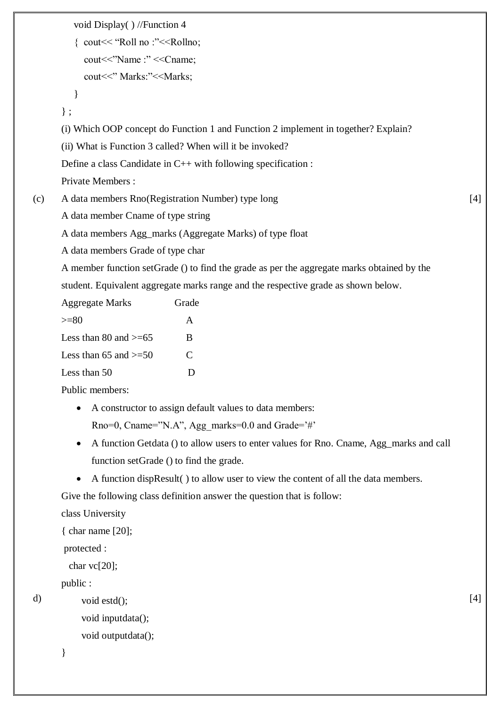```
 (c)
 d) 
         void Display( ) //Function 4
         { cout << "Roll no :" << Rollno;
           cout << "Name :" << Cname;
           cout << " Marks:" << Marks;
         }
      } ;
      (i) Which OOP concept do Function 1 and Function 2 implement in together? Explain?
      (ii) What is Function 3 called? When will it be invoked?
      Define a class Candidate in C++ with following specification : 
      Private Members :
      A data members Rno(Registration Number) type long
      A data member Cname of type string
      A data members Agg_marks (Aggregate Marks) of type float
      A data members Grade of type char
      A member function setGrade () to find the grade as per the aggregate marks obtained by the 
      student. Equivalent aggregate marks range and the respective grade as shown below.
      Aggregate Marks Grade
      >=80 A
      Less than 80 and \geq 65 B
      Less than 65 and \geq 50 C
      Less than 50 D
      Public members:
           A constructor to assign default values to data members:
             Rno=0, Cname="N.A", Agg_marks=0.0 and Grade='#'
          • A function Getdata () to allow users to enter values for Rno. Cname, Agg marks and call
             function setGrade () to find the grade.
           A function dispResult( ) to allow user to view the content of all the data members.
      Give the following class definition answer the question that is follow: 
      class University
      { char name [20];
       protected :
         char vc[20];
      public :
           void estd();
           void inputdata();
           void outputdata();
                                                                                                    [4]
                                                                                                    [4]
```
}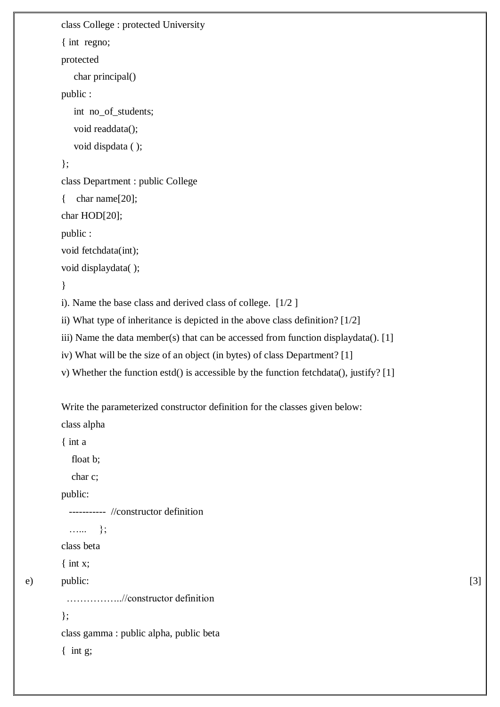```
class College : protected University
{ int regno;
protected
   char principal()
public :
   int no_of_students;
   void readdata();
   void dispdata ( );
};
class Department : public College
{ char name[20];
char HOD[20];
public :
void fetchdata(int);
void displaydata( ); 
}
i). Name the base class and derived class of college. [1/2 ]
ii) What type of inheritance is depicted in the above class definition? [1/2]
iii) Name the data member(s) that can be accessed from function displaydata(). [1]
iv) What will be the size of an object (in bytes) of class Department? [1]
v) Whether the function estd() is accessible by the function fetchdata(), justify? [1]
```
Write the parameterized constructor definition for the classes given below: class alpha

{ int a

float b;

char c;

public:

----------- //constructor definition

…... };

class beta

{ int x; public:

e)

……………..//constructor definition

};

class gamma : public alpha, public beta { int g;

[3]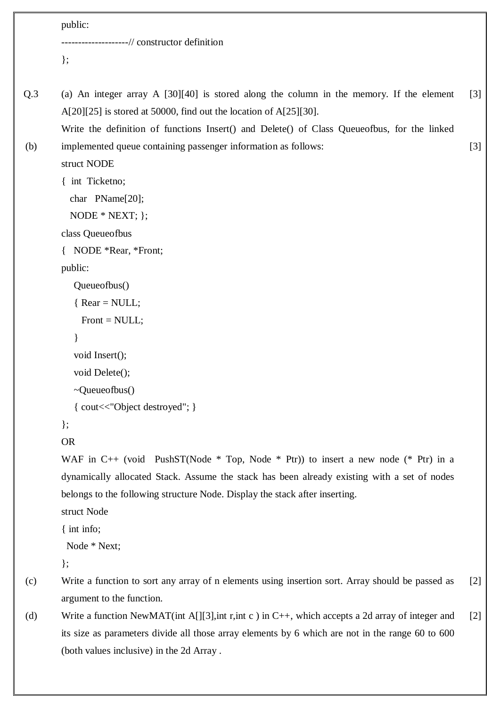```
public:
         --------------------// constructor definition
        };
Q.3
(b) 
(c)
        (a) An integer array A [30][40] is stored along the column in the memory. If the element 
        A[20][25] is stored at 50000, find out the location of A[25][30]. 
        Write the definition of functions Insert() and Delete() of Class Queueofbus, for the linked 
        implemented queue containing passenger information as follows: 
        struct NODE
         { int Ticketno;
           char PName[20];
           NODE * NEXT; };
        class Queueofbus
         { NODE *Rear, *Front;
        public:
           Queueofbus()
            \{ Rear = NULL;
              Front = NULL; 
            }
           void Insert();
           void Delete();
           ~Queueofbus()
           { cout<<"Object destroyed"; }
         };
        OR
        WAF in C++ (void PushST(Node * Top, Node * Ptr)) to insert a new node (* Ptr) in a
        dynamically allocated Stack. Assume the stack has been already existing with a set of nodes 
        belongs to the following structure Node. Display the stack after inserting.
        struct Node 
         { int info;
          Node * Next;
         };
        Write a function to sort any array of n elements using insertion sort. Array should be passed as 
        argument to the function. 
                                                                                                          [3]
                                                                                                          [3]
                                                                                                          [2]
```
(d) Write a function NewMAT(int A[][3], int r, int c ) in C++, which accepts a 2d array of integer and its size as parameters divide all those array elements by 6 which are not in the range 60 to 600 (both values inclusive) in the 2d Array . [2]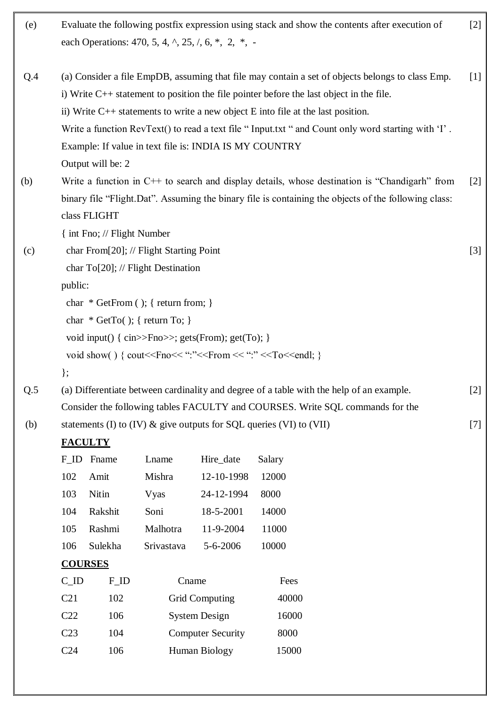| (e) |                                                                                                      |                                                                                                    |                   | each Operations: 470, 5, 4, $\land$ , 25, /, 6, $\ast$ , 2, $\ast$ , - |               | Evaluate the following postfix expression using stack and show the contents after execution of | $[2]$             |
|-----|------------------------------------------------------------------------------------------------------|----------------------------------------------------------------------------------------------------|-------------------|------------------------------------------------------------------------|---------------|------------------------------------------------------------------------------------------------|-------------------|
|     |                                                                                                      |                                                                                                    |                   |                                                                        |               |                                                                                                |                   |
| Q.4 | (a) Consider a file EmpDB, assuming that file may contain a set of objects belongs to class Emp.     |                                                                                                    |                   |                                                                        |               | $[1]$                                                                                          |                   |
|     | i) Write $C_{++}$ statement to position the file pointer before the last object in the file.         |                                                                                                    |                   |                                                                        |               |                                                                                                |                   |
|     | ii) Write $C_{++}$ statements to write a new object E into file at the last position.                |                                                                                                    |                   |                                                                        |               |                                                                                                |                   |
|     |                                                                                                      | Write a function RevText() to read a text file "Input.txt " and Count only word starting with 'I'. |                   |                                                                        |               |                                                                                                |                   |
|     |                                                                                                      | Example: If value in text file is: INDIA IS MY COUNTRY                                             |                   |                                                                        |               |                                                                                                |                   |
|     |                                                                                                      | Output will be: 2                                                                                  |                   |                                                                        |               |                                                                                                |                   |
| (b) |                                                                                                      |                                                                                                    |                   |                                                                        |               | Write a function in C++ to search and display details, whose destination is "Chandigarh" from  | $\lceil 2 \rceil$ |
|     | binary file "Flight.Dat". Assuming the binary file is containing the objects of the following class: |                                                                                                    |                   |                                                                        |               |                                                                                                |                   |
|     | class FLIGHT                                                                                         |                                                                                                    |                   |                                                                        |               |                                                                                                |                   |
|     |                                                                                                      | { int Fno; // Flight Number                                                                        |                   |                                                                        |               |                                                                                                |                   |
| (c) | char From[20]; // Flight Starting Point                                                              |                                                                                                    |                   |                                                                        |               | $[3]$                                                                                          |                   |
|     | char To[20]; $\#$ Flight Destination                                                                 |                                                                                                    |                   |                                                                        |               |                                                                                                |                   |
|     |                                                                                                      | public:                                                                                            |                   |                                                                        |               |                                                                                                |                   |
|     | char $*$ GetFrom (); { return from; }                                                                |                                                                                                    |                   |                                                                        |               |                                                                                                |                   |
|     |                                                                                                      | char $*$ GetTo(); { return To; }                                                                   |                   |                                                                        |               |                                                                                                |                   |
|     |                                                                                                      | void input() { $\text{cin} \gg \text{Fno} \gg$ ; gets(From); get(To); }                            |                   |                                                                        |               |                                                                                                |                   |
|     |                                                                                                      | void show() { cout << From << ":" << From << ":" << To << endl; }                                  |                   |                                                                        |               |                                                                                                |                   |
|     | $\}$ ;                                                                                               |                                                                                                    |                   |                                                                        |               |                                                                                                |                   |
| Q.5 | (a) Differentiate between cardinality and degree of a table with the help of an example.             |                                                                                                    |                   |                                                                        |               | $[2]$                                                                                          |                   |
|     | Consider the following tables FACULTY and COURSES. Write SQL commands for the                        |                                                                                                    |                   |                                                                        |               |                                                                                                |                   |
| (b) | statements (I) to (IV) $\&$ give outputs for SQL queries (VI) to (VII)<br>$[7]$<br><b>FACULTY</b>    |                                                                                                    |                   |                                                                        |               |                                                                                                |                   |
|     |                                                                                                      |                                                                                                    |                   |                                                                        |               |                                                                                                |                   |
|     |                                                                                                      | F ID Fname<br>Amit                                                                                 | Lname             | Hire_date<br>12-10-1998                                                | Salary        |                                                                                                |                   |
|     | 102<br>103                                                                                           | Nitin                                                                                              | Mishra            |                                                                        | 12000         |                                                                                                |                   |
|     |                                                                                                      |                                                                                                    | <b>Vyas</b>       | 24-12-1994                                                             | 8000<br>14000 |                                                                                                |                   |
|     | 104<br>105                                                                                           | Rakshit<br>Rashmi                                                                                  | Soni<br>Malhotra  | 18-5-2001<br>11-9-2004                                                 | 11000         |                                                                                                |                   |
|     | 106                                                                                                  | Sulekha                                                                                            | Srivastava        | $5 - 6 - 2006$                                                         | 10000         |                                                                                                |                   |
|     |                                                                                                      | <b>COURSES</b>                                                                                     |                   |                                                                        |               |                                                                                                |                   |
|     |                                                                                                      | $CD$ FID                                                                                           | C <sub>name</sub> |                                                                        | Fees          |                                                                                                |                   |

| C ID            | F ID | Cname                    | Fees  |
|-----------------|------|--------------------------|-------|
| C <sub>21</sub> | 102  | <b>Grid Computing</b>    | 40000 |
| C <sub>22</sub> | 106  | <b>System Design</b>     | 16000 |
| C <sub>23</sub> | 104  | <b>Computer Security</b> | 8000  |
| C <sub>24</sub> | 106  | Human Biology            | 15000 |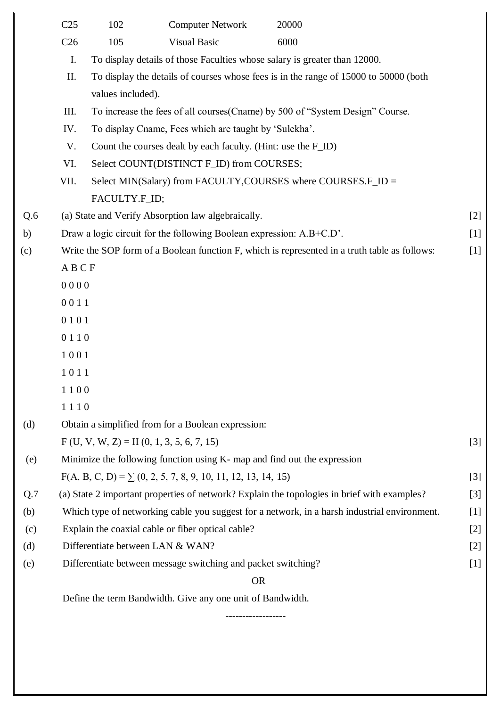|      | C <sub>25</sub>                                                                       | 102                                                                                  | <b>Computer Network</b>                                                   | 20000                                                                                         |       |  |  |
|------|---------------------------------------------------------------------------------------|--------------------------------------------------------------------------------------|---------------------------------------------------------------------------|-----------------------------------------------------------------------------------------------|-------|--|--|
|      | C <sub>26</sub>                                                                       | 105                                                                                  | <b>Visual Basic</b>                                                       | 6000                                                                                          |       |  |  |
|      | I.                                                                                    |                                                                                      | To display details of those Faculties whose salary is greater than 12000. |                                                                                               |       |  |  |
|      | II.                                                                                   | To display the details of courses whose fees is in the range of 15000 to 50000 (both |                                                                           |                                                                                               |       |  |  |
|      |                                                                                       | values included).                                                                    |                                                                           |                                                                                               |       |  |  |
|      | To increase the fees of all courses (Cname) by 500 of "System Design" Course.<br>III. |                                                                                      |                                                                           |                                                                                               |       |  |  |
|      | IV.                                                                                   | To display Cname, Fees which are taught by 'Sulekha'.                                |                                                                           |                                                                                               |       |  |  |
|      | V.<br>Count the courses dealt by each faculty. (Hint: use the F_ID)                   |                                                                                      |                                                                           |                                                                                               |       |  |  |
|      | VI.<br>Select COUNT(DISTINCT F_ID) from COURSES;                                      |                                                                                      |                                                                           |                                                                                               |       |  |  |
|      | VII.                                                                                  |                                                                                      |                                                                           | Select MIN(Salary) from FACULTY, COURSES where COURSES.F_ID =                                 |       |  |  |
|      |                                                                                       | FACULTY.F_ID;                                                                        |                                                                           |                                                                                               |       |  |  |
| Q.6  |                                                                                       |                                                                                      | (a) State and Verify Absorption law algebraically.                        |                                                                                               | $[2]$ |  |  |
| b)   |                                                                                       |                                                                                      | Draw a logic circuit for the following Boolean expression: A.B+C.D'.      |                                                                                               | $[1]$ |  |  |
| (c)  |                                                                                       |                                                                                      |                                                                           | Write the SOP form of a Boolean function F, which is represented in a truth table as follows: | $[1]$ |  |  |
|      | <b>ABCF</b>                                                                           |                                                                                      |                                                                           |                                                                                               |       |  |  |
|      | 0000                                                                                  |                                                                                      |                                                                           |                                                                                               |       |  |  |
|      | 0011                                                                                  |                                                                                      |                                                                           |                                                                                               |       |  |  |
|      | 0101                                                                                  |                                                                                      |                                                                           |                                                                                               |       |  |  |
| 0110 |                                                                                       |                                                                                      |                                                                           |                                                                                               |       |  |  |
|      | 1001<br>1011<br>1100                                                                  |                                                                                      |                                                                           |                                                                                               |       |  |  |
|      |                                                                                       |                                                                                      |                                                                           |                                                                                               |       |  |  |
|      |                                                                                       |                                                                                      |                                                                           |                                                                                               |       |  |  |
|      | 1110                                                                                  |                                                                                      |                                                                           |                                                                                               |       |  |  |
| (d)  | Obtain a simplified from for a Boolean expression:                                    |                                                                                      |                                                                           |                                                                                               |       |  |  |
|      |                                                                                       |                                                                                      | $F(U, V, W, Z) = II (0, 1, 3, 5, 6, 7, 15)$                               |                                                                                               | $[3]$ |  |  |
| (e)  |                                                                                       |                                                                                      | Minimize the following function using K- map and find out the expression  |                                                                                               |       |  |  |
|      |                                                                                       |                                                                                      | $F(A, B, C, D) = \sum (0, 2, 5, 7, 8, 9, 10, 11, 12, 13, 14, 15)$         |                                                                                               | $[3]$ |  |  |
| Q.7  |                                                                                       |                                                                                      |                                                                           | (a) State 2 important properties of network? Explain the topologies in brief with examples?   | $[3]$ |  |  |
| (b)  |                                                                                       |                                                                                      |                                                                           | Which type of networking cable you suggest for a network, in a harsh industrial environment.  | $[1]$ |  |  |
| (c)  |                                                                                       |                                                                                      | Explain the coaxial cable or fiber optical cable?                         |                                                                                               | $[2]$ |  |  |
| (d)  |                                                                                       |                                                                                      | Differentiate between LAN & WAN?                                          |                                                                                               | $[2]$ |  |  |
| (e)  |                                                                                       |                                                                                      | Differentiate between message switching and packet switching?             |                                                                                               | $[1]$ |  |  |
|      |                                                                                       |                                                                                      | <b>OR</b>                                                                 |                                                                                               |       |  |  |
|      |                                                                                       |                                                                                      | Define the term Bandwidth. Give any one unit of Bandwidth.                |                                                                                               |       |  |  |
|      |                                                                                       |                                                                                      |                                                                           |                                                                                               |       |  |  |
|      |                                                                                       |                                                                                      |                                                                           |                                                                                               |       |  |  |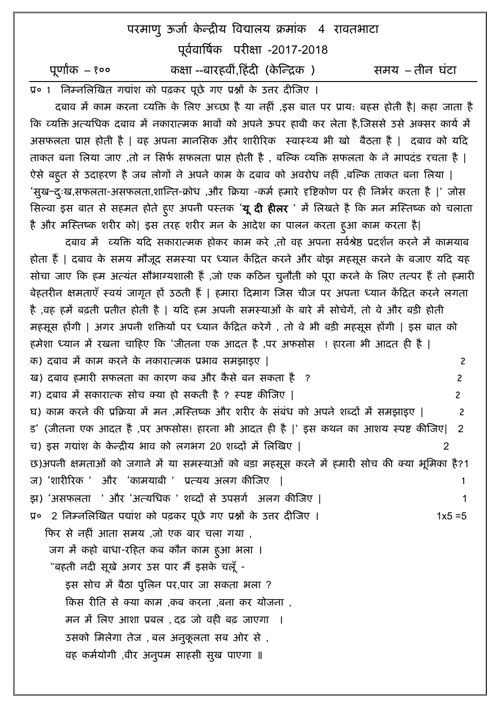| परमाणु ऊर्जा केन्द्रीय विद्यालय क्रमांक   4  रावतभाटा                                                                                                                               |
|-------------------------------------------------------------------------------------------------------------------------------------------------------------------------------------|
| पूर्ववार्षिक परीक्षा -2017-2018                                                                                                                                                     |
| कक्षा --बारहवीं,हिंदी (केन्द्रिक )<br>पूर्णांक – १००<br>समय –तीन घंटा                                                                                                               |
| प्र० 1  निम्नलिखित गद्यांश को पढ़कर पूछे गए प्रश्नों के उत्तर दीजिए ।                                                                                                               |
| दबाव में काम करना व्यक्ति के लिए अच्छा है या नहीं ,इस बात पर प्राय: बहस होती है  कहा जाता है                                                                                        |
| कि व्यक्ति अत्यधिक दबाव में नकारात्मक भावों को अपने ऊपर हावी कर लेता है,जिससे उसे अक्सर कार्य में                                                                                   |
| असफलता प्राप्त होती है   वह अपना मानसिक और शारीरिक  स्वास्थ्य भी खो  बैठता है    दबाव को यदि                                                                                        |
| ताकत बना लिया जाए ,तो न सिर्फ सफलता प्राप्त होती है , बल्कि व्यक्ति सफलता के ने मापदंड रचता है                                                                                      |
| ऐसे बहुत से उदाहरण है जब लोगों ने अपने काम के दबाव को अवरोध नहीं ,बल्कि ताकत बना लिया                                                                                               |
| 'सुख–दुःख,सफलता-असफलता,शान्ति-क्रोध ,और क्रिया -कर्म हमारे दृष्टिकोण पर ही निर्भर करता है  ' जोस                                                                                    |
| सिल्वा इस बात से सहमत होते हुए अपनी पस्तक ' <b>यू दी हीलर</b> ' में लिखते है कि मन मस्तिष्क को चलाता<br>है और मस्तिष्क शरीर को  इस तरह शरीर मन के आदेश का पालन करता हुआ काम करता है |
| दबाव में  व्यक्ति यदि सकारात्मक होकर काम करे ,तो वह अपना सर्वश्रेष्ठ प्रदर्शन करने में कामयाब                                                                                       |
| होता हैं   दबाव के समय मौजूद समस्या पर ध्यान केंद्रित करने और बोझ महसूस करने के बजाए यदि यह                                                                                         |
| सोचा जाए कि हम अत्यंत सौभाग्यशाली हैं ,जो एक कठिन चुनौती को पूरा करने के लिए तत्पर हैं तो हमारी                                                                                     |
| बेहतरीन क्षमताएँ स्वयं जागृत हों उठती हैं   हमारा दिमाग जिस चीज पर अपना ध्यान केंद्रित करने लगता                                                                                    |
| है ,वह हमें बढ़ती प्रतीत होती है   यदि हम अपनी समस्याओं के बारे में सोचेगें, तो वे और बड़ी होती                                                                                     |
| महसूस होंगी   अगर अपनी शक्तियों पर ध्यान केंद्रित करेगें , तो वे भी बड़ी महसूस होंगी   इस बात को                                                                                    |
| हमेशा ध्यान में रखना चाहिए कि 'जीतना एक आदत है ,पर अफसोस  ! हारना भी आदत ही है                                                                                                      |
| क) दबाव में काम करने के नकारात्मक प्रभाव समझाइए  <br>2                                                                                                                              |
| ख) दबाव हमारी सफलता का कारण कब और कैसे बन सकता है ं ?<br>2                                                                                                                          |
| ग) दबाव में सकारात्क सोच क्या हो सकती है ? स्पष्ट कीजिए                                                                                                                             |
| घ) काम करने की प्रक्रिया में मन ,मस्तिष्क और शरीर के संबंध को अपने शब्दों में समझाइए  <br>$\overline{c}$                                                                            |
| ड' (जीतना एक आदत है ,पर अफसोस! हारना भी आदत ही है  ' इस कथन का आशय स्पष्ट कीजिए <br>2                                                                                               |
| च) इस गद्यांश के केन्द्रीय भाव को लगभग 20 शब्दों में लिखिए  <br>2                                                                                                                   |
| छ)अपनी क्षमताओं को जगाने में या समस्याओं को बड़ा महसूस करने में हमारी सोच की क्या भूमिका है?1                                                                                       |
| ज) 'शारीरिक ' और 'कामयाबी ' प्रत्यय अलग कीजिए<br>1                                                                                                                                  |
| झ) 'असफलता ' और 'अत्यधिक ' शब्दों से उपसर्ग अलग कीजिए  <br>1                                                                                                                        |
| प्र०) 2 निम्नलिखित पद्यांश को पढ़कर पूछे गए प्रश्नों के उत्तर दीजिए ।<br>$1x5 = 5$                                                                                                  |
| फिर से नहीं आता समय ,जो एक बार चला गया ,                                                                                                                                            |
| जग में कहो बाधा-रहित कब कौन काम हुआ भला ।<br>"बहती नदी सूखे अगर उस पार मैं इसके चलूँ -                                                                                              |
| इस सोच में बैठा पुलिन पर,पार जा सकता भला ?                                                                                                                                          |
| किस रीति से क्या काम ,कब करना ,बना कर योजना ,                                                                                                                                       |
| मन में लिए आशा प्रबल , दढ़ जो वही बढ़ जाएगा                                                                                                                                         |
| उसको मिलेगा तेज , बल अनुकूलता सब ओर से ,                                                                                                                                            |
| वह कर्मयोगी ,वीर अनुपम साहसी सुख पाएगा ॥                                                                                                                                            |
|                                                                                                                                                                                     |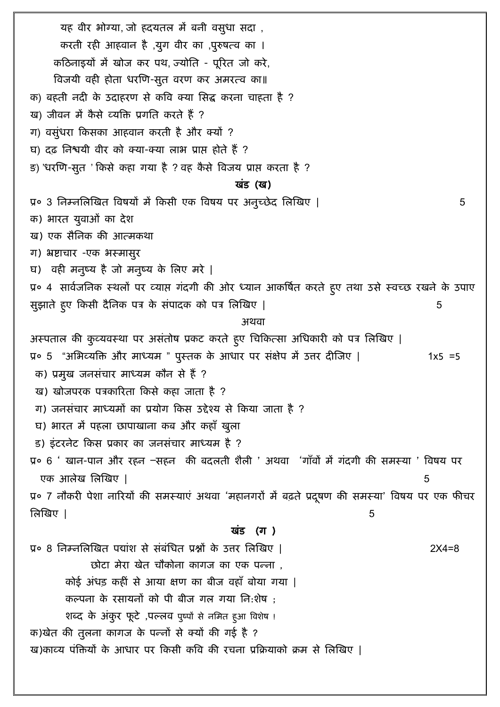यह वीर भोग्या, जो हदयतल में बनी वसुधा सदा , करती रही आहवान है ,युग वीर का ,पुरुषत्व का । कठिनाइयों में खोज कर पथ, ज्योति - पूरित जो करे, विजयी वही होता धरणि-सुत वरण कर अमरत्व का॥ क) बहती नदी के उदाहरण से कवि क्या सिद्ध करना चाहता है ? ख) जीवन में कैसे व्यक्ति प्रगति करते हैं ? ग) वसुंधरा किसका आहवान करती है और क्यों ? घ) दढ़ निश्चयी वीर को क्या-क्या लाभ प्राप्त होते हैं ? ड) 'धरणि-सूत ' किसे कहा गया है ? वह कैसे विजय प्राप्त करता है ? खंड (ख) प्र० 3 ननम्ननरन्द्ित विषमों भें हकस एक विषम ऩय अनुच्छेद नरन्द्िए | 5 क) भारत युवाओं का देश ि) एक सैननक की आत्भकथा ग) भ्रष्टाचार -एक भस्मासुर घ) वही मनुष्य है जो मनुष्य के लिए मरे | प्र० 4 सार्वजनिक स्थलों पर व्याप्त गंदगी की ओर ध्यान आकर्षित करते हुए तथा उसे स्वच्छ रखने के उपाए सुझाते हुए हकस दैननक ऩत्र के सॊऩादक को ऩत्र नरन्द्िए | 5 अथिा अस्पताल की कुव्यवस्था पर असंतोष प्रकट करते हुए चिकित्सा अधिकारी को पत्र लिखिए | प्र० 5 "अभिव्यक्ति और माध्यम " पुस्तक के आधार पर संक्षेप में उत्तर दीजिए | 1x5 =5 क) प्रमुख जनसंचार माध्यम कौन से हैं ? ख) खोजपरक पत्रकारिता किसे कहा जाता है ? ग) जनसंचार माध्यमों का प्रयोग किस उद्देश्य से किया जाता है ? घ) भारत में पहला छापाखाना कब और कहाँ खुला ड) इंटरनेट किस प्रकार का जनसंचार माध्यम है ? प्र० 6 ' खान-पान और रहन –सहन की बदलती शैली ' अथवा 'गाँवों में गंदगी की समस्या ' विषय पर एक आलेख लिखिए | 5 प्र० 7 नौकरी पेशा नारियों की समस्याएं अथवा 'महानगरों में बढ़ते प्रदूषण की समस्या' विषय पर एक फीचर न्तिखिए | 5 खंड (ग) प्र० 8 ननम्ननरन्द्ित ऩद्याॊश से सॊफॊनधत प्रश्नों के उत्तय नरन्द्िए | 2X4=8 छोटा मेरा खेत चौकोना कागज का एक पन्ना . कोई अंधड़ कहीं से आया क्षण का बीज वहाँ बोया गया | कल्पना के रसायनों को पी बीज गल गया नि:शेष : शब्द के अंकुर फूटे ,पल्लव पुष्पों से नमित हुआ विशेष ! क)खेत की तुलना कागज के पन्नों से क्यों की गई है ? ख)काव्य पंक्तियों के आधार पर किसी कवि की रचना प्रक्रियाको क्रम से लिखिए |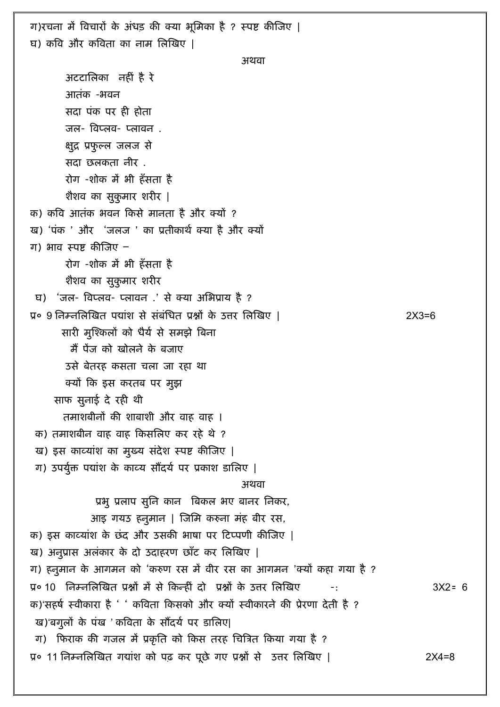ग)रचना में विचारों के अंधड़ की क्या भूमिका है ? स्पष्ट कीजिए | घ) कवि और कविता का नाम लिखिए | अथिा अटटालिका नहीं है रे आतंक -भवन सदा पंक पर ही होता जल- विप्लव- प्लावन. क्षद्र प्रफुल्ल जलज से सदा छलकता नीर. रोग -शोक में भी हँसता है शैशव का सुकुमार शरीर | क) कवि आतंक भवन किसे मानता है और क्यों ? ख) 'पंक ' और 'जलज ' का प्रतीकार्थ क्या है और क्यों ग) भाव स्पष्ट कीजिए – रोग -शोक में भी हँसता है शैशव का सुकुमार शरीर घ) 'जल- विप्लव- प्लावन .' से क्या अभिप्राय है ? प्र० 9 ननम्ननरन्द्ित ऩद्याॊश से सॊफॊनधत प्रश्नों के उत्तय नरन्द्िए | 2X3=6 सारी मुश्किलों को धैर्य से समझे बिना मैं पेंज को खोलने के बजाए उसे फेतयह कसता चरा जा यहा था क्यों कि इस करतब पर मुझ साफ सुनाई दे रही थी तमाशबीनों की शाबाशी और वाह वाह । क) तमाशबीन वाह वाह किसलिए कर रहे थे ? ख) इस काव्यांश का मुख्य संदेश स्पष्ट कीजिए | ग) उपर्युक्त पद्यांश के काव्य सौंदर्य पर प्रकाश डालिए | अथवा प्रभू प्रलाप सुनि कान बिकल भए बानर निकर, आइ गयउ हनुमान | जिमि करुना मंह बीर रस, क) इस काव्यांश के छंद और उसकी भाषा पर टिप्पणी कीजिए | ख) अनुप्रास अलंकार के दो उदाहरण छाँट कर लिखिए | ग) हनुमान के आगमन को 'करुण रस में वीर रस का आगमन 'क्यों कहा गया है ? प्र० 10 निम्नलिखित प्रश्नों में से किन्हीं दो प्रश्नों के उत्तर लिखिए -: 3X2= 6 क)'सहर्ष स्वीकारा है ' ' कविता किसको और क्यों स्वीकारने की प्रेरणा देती है ? ख)'बगुलों के पंख ' कविता के सौंदर्य पर डालिए| ग) फिराक की गजल में प्रकृति को किस तरह चित्रित किया गया है ? प्र० 11 ननम्ननरन्द्ित गद्याॊश को ऩढ़ कय ऩूछे गए प्रश्नों से उत्तय नरन्द्िए | 2X4=8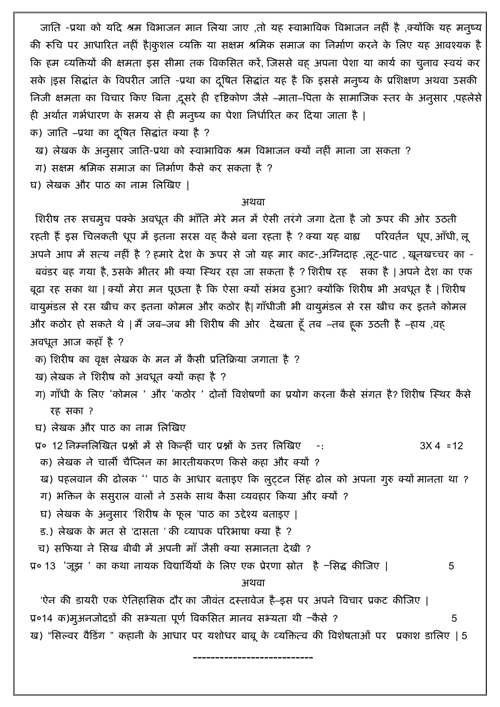जाति -प्रथा को यदि श्रम विभाजन मान लिया जाए ,तो यह स्वाभाविक विभाजन नहीं है ,क्योंकि यह मनुष्य की रूचि पर आधारित नहीं है|कुशल व्यक्ति या सक्षम श्रमिक समाज का निर्माण करने के लिए यह आवश्यक है कि हम व्यक्तियों की क्षमता इस सीमा तक विकसित करें, जिससे वह अपना पेशा या कार्य का चुनाव स्वयं कर सके |इस सिद्धांत के विपरीत जाति -प्रथा का दुषित सिद्धांत यह है कि इससे मनुष्य के प्रशिक्षण अथवा उसकी निजी क्षमता का विचार किए बिना ,दूसरे ही दृष्टिकोण जैसे –माता–पिता के सामाजिक स्तर के अनुसार ,पहलेसे ही अर्थात गर्भधारण के समय से ही मनुष्य का पेशा निर्धारित कर दिया जाता है |

क) जाति –प्रथा का दुषित सिद्धांत क्या है ?

ख) लेखक के अनुसार जाति-प्रथा को स्वाभाविक श्रम विभाजन क्यों नहीं माना जा सकता ?

ग) सक्षम श्रमिक समाज का निर्माण कैसे कर सकता है ?

घ) लेखक और पाठ का नाम लिखिए |

#### अथवा

शिरीष तरु सचमुच पक्के अवधूत की भाँति मेरे मन में ऐसी तरंगे जगा देता है जो ऊपर की ओर उठती रहती हैं इस चिलकती धूप में इतना सरस वह् कैसे बना रहता है ? क्या यह बाह्य परिवर्तन धूप, आँधी, लू अपने आप में सत्य नहीं है ? हमारे देश के ऊपर से जो यह मार काट-,अग्निदाह ,लूट-पाट , खूनखच्चर का -बवंडर बह गया है, उसके भीतर भी क्या स्थिर रहा जा सकता है ? शिरीष रह सका है | अपने देश का एक बूढा रह सका था | क्यों मेरा मन पूछता है कि ऐसा क्यों संभव हुआ? क्योंकि शिरीष भी अवधूत है | शिरीष वायुमंडल से रस खीच कर इतना कोमल और कठोर है| गाँधीजी भी वायुमंडल से रस खीच कर इतने कोमल और कठोर हो सकते थे | मैं जब–जब भी शिरीष की ओर देखता हूँ तब –तब हूक उठती है –हाय ,वह् अिधूत आज कहाॉ है ?

क) शिरीष का वृक्ष लेखक के मन में कैसी प्रतिक्रिया जगाता है ?

ख) लेखक ने शिरीष को अवधूत क्यों कहा है ?

- ग) गाँधी के लिए 'कोमल ' और 'कठोर ' दोनों विशेषणों का प्रयोग करना कैसे संगत है? शिरीष स्थिर कैसे यह सका ?
- घ) लेखक और पाठ का नाम लिखिए
- प्र० 12 ननम्ननरन्द्ित प्रश्नों भें से हकन्द्हीॊ चाय प्रश्नों के उत्तय नरन्द्िए -: 3X 4 =12

क) लेखक ने चार्ली चैप्लिन का भारतीयकरण किसे कहा और क्यों ?

ख) पहलवान की ढोलक '' पाठ के आधार बताइए कि लुट्टन सिंह ढोल को अपना गुरु क्यों मानता था ?

- ग) भक्तिन के ससुराल वालों ने उसके साथ कैसा व्यवहार किया और क्यों ?
- घ) लेखक के अनुसार 'शिरीष के फूल 'पाठ का उद्देश्य बताइए |
- ड.) लेखक के मत से 'दासता ' की व्यापक परिभाषा क्या है ?

च) सफिया ने सिख बीबी में अपनी माँ जैसी क्या समानता देखी ?

प्र० 13 'जूझ ' का कथा नायक विद्यार्थियों के लिए एक प्रेरणा स्रोत है –सिद्ध कीजिए | 5 अथवा

'ऐन की डायरी एक ऐतिहासिक दौर का जीवंत दस्तावेज है–इस पर अपने विचार प्रकट कीजिए | प्र०14 क)भुअनजोदडों की सभ्मता ऩूणा विकनसत भानि सभ्मता थ –कै से ? 5 ख) "सिल्वर वैडिंग " कहानी के आधार पर यशोधर बाबू के व्यक्तित्व की विशेषताओं पर प्रकाश डालिए | 5

---------------------------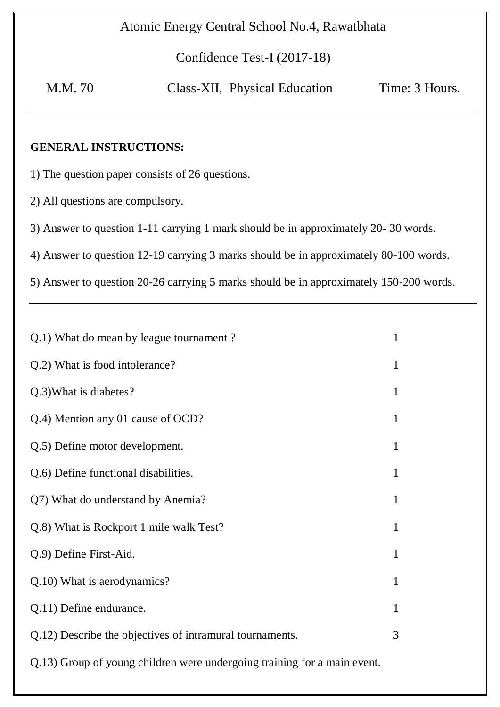Atomic Energy Central School No.4, Rawatbhata

Confidence Test-I (2017-18)

M.M. 70 Class-XII, Physical Education Time: 3 Hours.

# **GENERAL INSTRUCTIONS:**

1) The question paper consists of 26 questions.

2) All questions are compulsory.

3) Answer to question 1-11 carrying 1 mark should be in approximately 20- 30 words.

4) Answer to question 12-19 carrying 3 marks should be in approximately 80-100 words.

5) Answer to question 20-26 carrying 5 marks should be in approximately 150-200 words.

| Q.1) What do mean by league tournament?                                  | 1            |  |  |
|--------------------------------------------------------------------------|--------------|--|--|
| Q.2) What is food intolerance?                                           | $\mathbf{1}$ |  |  |
| Q.3) What is diabetes?                                                   | $\mathbf{1}$ |  |  |
| Q.4) Mention any 01 cause of OCD?                                        | $\mathbf{1}$ |  |  |
| Q.5) Define motor development.                                           | $\mathbf{1}$ |  |  |
| Q.6) Define functional disabilities.                                     | $\mathbf{1}$ |  |  |
| Q7) What do understand by Anemia?                                        | $\mathbf{1}$ |  |  |
| Q.8) What is Rockport 1 mile walk Test?                                  | $\mathbf{1}$ |  |  |
| Q.9) Define First-Aid.                                                   | $\mathbf{1}$ |  |  |
| Q.10) What is aerodynamics?                                              | $\mathbf{1}$ |  |  |
| Q.11) Define endurance.                                                  | $\mathbf{1}$ |  |  |
| Q.12) Describe the objectives of intramural tournaments.                 | 3            |  |  |
| Q.13) Group of young children were undergoing training for a main event. |              |  |  |